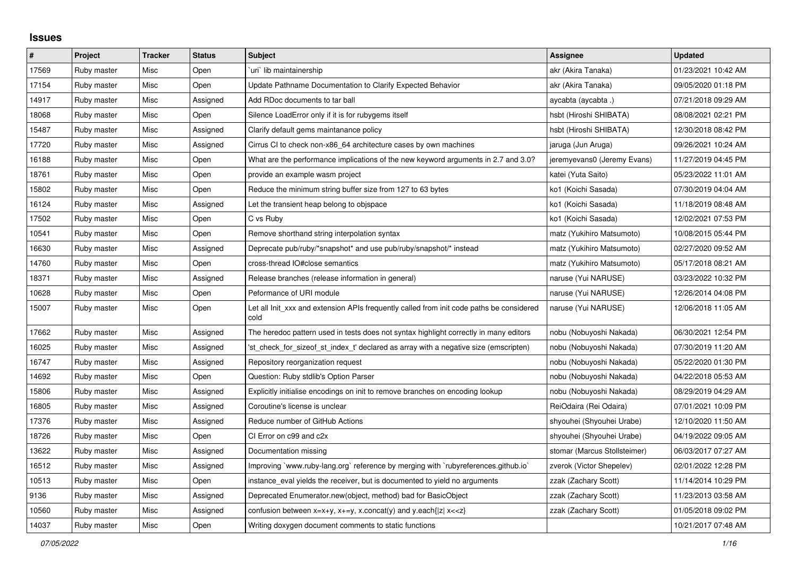## **Issues**

| $\vert$ # | Project     | <b>Tracker</b> | <b>Status</b> | <b>Subject</b>                                                                                   | Assignee                     | <b>Updated</b>      |
|-----------|-------------|----------------|---------------|--------------------------------------------------------------------------------------------------|------------------------------|---------------------|
| 17569     | Ruby master | Misc           | Open          | uri lib maintainership                                                                           | akr (Akira Tanaka)           | 01/23/2021 10:42 AM |
| 17154     | Ruby master | Misc           | Open          | Update Pathname Documentation to Clarify Expected Behavior                                       | akr (Akira Tanaka)           | 09/05/2020 01:18 PM |
| 14917     | Ruby master | Misc           | Assigned      | Add RDoc documents to tar ball                                                                   | aycabta (aycabta .)          | 07/21/2018 09:29 AM |
| 18068     | Ruby master | Misc           | Open          | Silence LoadError only if it is for rubygems itself                                              | hsbt (Hiroshi SHIBATA)       | 08/08/2021 02:21 PM |
| 15487     | Ruby master | Misc           | Assigned      | Clarify default gems maintanance policy                                                          | hsbt (Hiroshi SHIBATA)       | 12/30/2018 08:42 PM |
| 17720     | Ruby master | Misc           | Assigned      | Cirrus CI to check non-x86 64 architecture cases by own machines                                 | jaruga (Jun Aruga)           | 09/26/2021 10:24 AM |
| 16188     | Ruby master | Misc           | Open          | What are the performance implications of the new keyword arguments in 2.7 and 3.0?               | jeremyevans0 (Jeremy Evans)  | 11/27/2019 04:45 PM |
| 18761     | Ruby master | Misc           | Open          | provide an example wasm project                                                                  | katei (Yuta Saito)           | 05/23/2022 11:01 AM |
| 15802     | Ruby master | Misc           | Open          | Reduce the minimum string buffer size from 127 to 63 bytes                                       | ko1 (Koichi Sasada)          | 07/30/2019 04:04 AM |
| 16124     | Ruby master | Misc           | Assigned      | Let the transient heap belong to objspace                                                        | ko1 (Koichi Sasada)          | 11/18/2019 08:48 AM |
| 17502     | Ruby master | Misc           | Open          | C vs Ruby                                                                                        | ko1 (Koichi Sasada)          | 12/02/2021 07:53 PM |
| 10541     | Ruby master | Misc           | Open          | Remove shorthand string interpolation syntax                                                     | matz (Yukihiro Matsumoto)    | 10/08/2015 05:44 PM |
| 16630     | Ruby master | Misc           | Assigned      | Deprecate pub/ruby/*snapshot* and use pub/ruby/snapshot/* instead                                | matz (Yukihiro Matsumoto)    | 02/27/2020 09:52 AM |
| 14760     | Ruby master | Misc           | Open          | cross-thread IO#close semantics                                                                  | matz (Yukihiro Matsumoto)    | 05/17/2018 08:21 AM |
| 18371     | Ruby master | Misc           | Assigned      | Release branches (release information in general)                                                | naruse (Yui NARUSE)          | 03/23/2022 10:32 PM |
| 10628     | Ruby master | Misc           | Open          | Peformance of URI module                                                                         | naruse (Yui NARUSE)          | 12/26/2014 04:08 PM |
| 15007     | Ruby master | Misc           | Open          | Let all Init_xxx and extension APIs frequently called from init code paths be considered<br>cold | naruse (Yui NARUSE)          | 12/06/2018 11:05 AM |
| 17662     | Ruby master | Misc           | Assigned      | The heredoc pattern used in tests does not syntax highlight correctly in many editors            | nobu (Nobuyoshi Nakada)      | 06/30/2021 12:54 PM |
| 16025     | Ruby master | Misc           | Assigned      | 'st_check_for_sizeof_st_index_t' declared as array with a negative size (emscripten)             | nobu (Nobuyoshi Nakada)      | 07/30/2019 11:20 AM |
| 16747     | Ruby master | Misc           | Assigned      | Repository reorganization request                                                                | nobu (Nobuyoshi Nakada)      | 05/22/2020 01:30 PM |
| 14692     | Ruby master | Misc           | Open          | Question: Ruby stdlib's Option Parser                                                            | nobu (Nobuyoshi Nakada)      | 04/22/2018 05:53 AM |
| 15806     | Ruby master | Misc           | Assigned      | Explicitly initialise encodings on init to remove branches on encoding lookup                    | nobu (Nobuyoshi Nakada)      | 08/29/2019 04:29 AM |
| 16805     | Ruby master | Misc           | Assigned      | Coroutine's license is unclear                                                                   | ReiOdaira (Rei Odaira)       | 07/01/2021 10:09 PM |
| 17376     | Ruby master | Misc           | Assigned      | Reduce number of GitHub Actions                                                                  | shyouhei (Shyouhei Urabe)    | 12/10/2020 11:50 AM |
| 18726     | Ruby master | Misc           | Open          | CI Error on c99 and c2x                                                                          | shyouhei (Shyouhei Urabe)    | 04/19/2022 09:05 AM |
| 13622     | Ruby master | Misc           | Assigned      | Documentation missing                                                                            | stomar (Marcus Stollsteimer) | 06/03/2017 07:27 AM |
| 16512     | Ruby master | Misc           | Assigned      | Improving `www.ruby-lang.org` reference by merging with `rubyreferences.github.io`               | zverok (Victor Shepelev)     | 02/01/2022 12:28 PM |
| 10513     | Ruby master | Misc           | Open          | instance eval yields the receiver, but is documented to yield no arguments                       | zzak (Zachary Scott)         | 11/14/2014 10:29 PM |
| 9136      | Ruby master | Misc           | Assigned      | Deprecated Enumerator.new(object, method) bad for BasicObject                                    | zzak (Zachary Scott)         | 11/23/2013 03:58 AM |
| 10560     | Ruby master | Misc           | Assigned      | confusion between $x=x+y$ , $x+=y$ , x.concat(y) and y.each{ z  $x<}$                            | zzak (Zachary Scott)         | 01/05/2018 09:02 PM |
| 14037     | Ruby master | Misc           | Open          | Writing doxygen document comments to static functions                                            |                              | 10/21/2017 07:48 AM |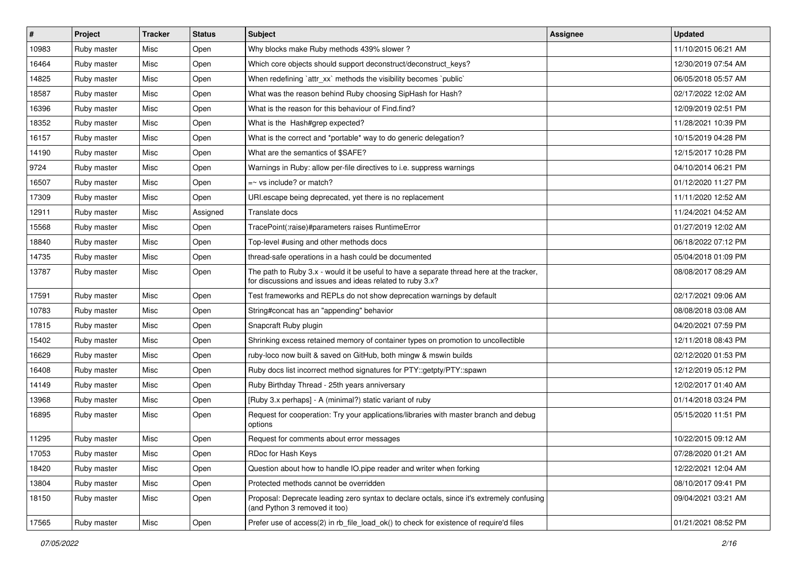| $\vert$ # | Project     | <b>Tracker</b> | <b>Status</b> | <b>Subject</b>                                                                                                                                        | <b>Assignee</b> | <b>Updated</b>      |
|-----------|-------------|----------------|---------------|-------------------------------------------------------------------------------------------------------------------------------------------------------|-----------------|---------------------|
| 10983     | Ruby master | Misc           | Open          | Why blocks make Ruby methods 439% slower?                                                                                                             |                 | 11/10/2015 06:21 AM |
| 16464     | Ruby master | Misc           | Open          | Which core objects should support deconstruct/deconstruct_keys?                                                                                       |                 | 12/30/2019 07:54 AM |
| 14825     | Ruby master | Misc           | Open          | When redefining `attr_xx` methods the visibility becomes `public`                                                                                     |                 | 06/05/2018 05:57 AM |
| 18587     | Ruby master | Misc           | Open          | What was the reason behind Ruby choosing SipHash for Hash?                                                                                            |                 | 02/17/2022 12:02 AM |
| 16396     | Ruby master | Misc           | Open          | What is the reason for this behaviour of Find.find?                                                                                                   |                 | 12/09/2019 02:51 PM |
| 18352     | Ruby master | Misc           | Open          | What is the Hash#grep expected?                                                                                                                       |                 | 11/28/2021 10:39 PM |
| 16157     | Ruby master | Misc           | Open          | What is the correct and *portable* way to do generic delegation?                                                                                      |                 | 10/15/2019 04:28 PM |
| 14190     | Ruby master | Misc           | Open          | What are the semantics of \$SAFE?                                                                                                                     |                 | 12/15/2017 10:28 PM |
| 9724      | Ruby master | Misc           | Open          | Warnings in Ruby: allow per-file directives to i.e. suppress warnings                                                                                 |                 | 04/10/2014 06:21 PM |
| 16507     | Ruby master | Misc           | Open          | $=$ vs include? or match?                                                                                                                             |                 | 01/12/2020 11:27 PM |
| 17309     | Ruby master | Misc           | Open          | URI escape being deprecated, yet there is no replacement                                                                                              |                 | 11/11/2020 12:52 AM |
| 12911     | Ruby master | Misc           | Assigned      | Translate docs                                                                                                                                        |                 | 11/24/2021 04:52 AM |
| 15568     | Ruby master | Misc           | Open          | TracePoint(:raise)#parameters raises RuntimeError                                                                                                     |                 | 01/27/2019 12:02 AM |
| 18840     | Ruby master | Misc           | Open          | Top-level #using and other methods docs                                                                                                               |                 | 06/18/2022 07:12 PM |
| 14735     | Ruby master | Misc           | Open          | thread-safe operations in a hash could be documented                                                                                                  |                 | 05/04/2018 01:09 PM |
| 13787     | Ruby master | Misc           | Open          | The path to Ruby 3.x - would it be useful to have a separate thread here at the tracker,<br>for discussions and issues and ideas related to ruby 3.x? |                 | 08/08/2017 08:29 AM |
| 17591     | Ruby master | Misc           | Open          | Test frameworks and REPLs do not show deprecation warnings by default                                                                                 |                 | 02/17/2021 09:06 AM |
| 10783     | Ruby master | Misc           | Open          | String#concat has an "appending" behavior                                                                                                             |                 | 08/08/2018 03:08 AM |
| 17815     | Ruby master | Misc           | Open          | Snapcraft Ruby plugin                                                                                                                                 |                 | 04/20/2021 07:59 PM |
| 15402     | Ruby master | Misc           | Open          | Shrinking excess retained memory of container types on promotion to uncollectible                                                                     |                 | 12/11/2018 08:43 PM |
| 16629     | Ruby master | Misc           | Open          | ruby-loco now built & saved on GitHub, both mingw & mswin builds                                                                                      |                 | 02/12/2020 01:53 PM |
| 16408     | Ruby master | Misc           | Open          | Ruby docs list incorrect method signatures for PTY::getpty/PTY::spawn                                                                                 |                 | 12/12/2019 05:12 PM |
| 14149     | Ruby master | Misc           | Open          | Ruby Birthday Thread - 25th years anniversary                                                                                                         |                 | 12/02/2017 01:40 AM |
| 13968     | Ruby master | Misc           | Open          | [Ruby 3.x perhaps] - A (minimal?) static variant of ruby                                                                                              |                 | 01/14/2018 03:24 PM |
| 16895     | Ruby master | Misc           | Open          | Request for cooperation: Try your applications/libraries with master branch and debug<br>options                                                      |                 | 05/15/2020 11:51 PM |
| 11295     | Ruby master | <b>Misc</b>    | Open          | Request for comments about error messages                                                                                                             |                 | 10/22/2015 09:12 AM |
| 17053     | Ruby master | Misc           | Open          | RDoc for Hash Keys                                                                                                                                    |                 | 07/28/2020 01:21 AM |
| 18420     | Ruby master | Misc           | Open          | Question about how to handle IO.pipe reader and writer when forking                                                                                   |                 | 12/22/2021 12:04 AM |
| 13804     | Ruby master | Misc           | Open          | Protected methods cannot be overridden                                                                                                                |                 | 08/10/2017 09:41 PM |
| 18150     | Ruby master | Misc           | Open          | Proposal: Deprecate leading zero syntax to declare octals, since it's extremely confusing<br>(and Python 3 removed it too)                            |                 | 09/04/2021 03:21 AM |
| 17565     | Ruby master | Misc           | Open          | Prefer use of access(2) in rb_file_load_ok() to check for existence of require'd files                                                                |                 | 01/21/2021 08:52 PM |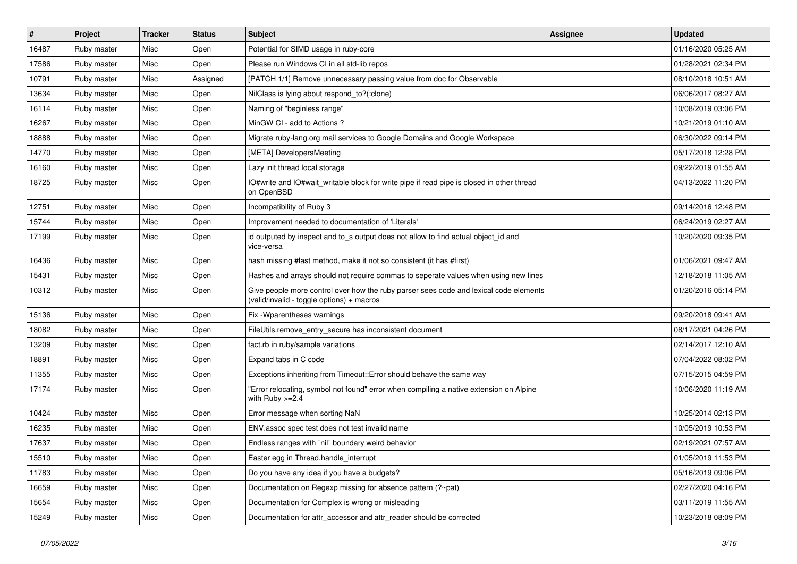| $\vert$ # | Project     | <b>Tracker</b> | <b>Status</b> | Subject                                                                                                                            | <b>Assignee</b> | <b>Updated</b>      |
|-----------|-------------|----------------|---------------|------------------------------------------------------------------------------------------------------------------------------------|-----------------|---------------------|
| 16487     | Ruby master | Misc           | Open          | Potential for SIMD usage in ruby-core                                                                                              |                 | 01/16/2020 05:25 AM |
| 17586     | Ruby master | Misc           | Open          | Please run Windows CI in all std-lib repos                                                                                         |                 | 01/28/2021 02:34 PM |
| 10791     | Ruby master | Misc           | Assigned      | [PATCH 1/1] Remove unnecessary passing value from doc for Observable                                                               |                 | 08/10/2018 10:51 AM |
| 13634     | Ruby master | Misc           | Open          | NilClass is lying about respond_to?(:clone)                                                                                        |                 | 06/06/2017 08:27 AM |
| 16114     | Ruby master | Misc           | Open          | Naming of "beginless range"                                                                                                        |                 | 10/08/2019 03:06 PM |
| 16267     | Ruby master | Misc           | Open          | MinGW CI - add to Actions ?                                                                                                        |                 | 10/21/2019 01:10 AM |
| 18888     | Ruby master | Misc           | Open          | Migrate ruby-lang.org mail services to Google Domains and Google Workspace                                                         |                 | 06/30/2022 09:14 PM |
| 14770     | Ruby master | Misc           | Open          | [META] DevelopersMeeting                                                                                                           |                 | 05/17/2018 12:28 PM |
| 16160     | Ruby master | Misc           | Open          | Lazy init thread local storage                                                                                                     |                 | 09/22/2019 01:55 AM |
| 18725     | Ruby master | Misc           | Open          | IO#write and IO#wait_writable block for write pipe if read pipe is closed in other thread<br>on OpenBSD                            |                 | 04/13/2022 11:20 PM |
| 12751     | Ruby master | Misc           | Open          | Incompatibility of Ruby 3                                                                                                          |                 | 09/14/2016 12:48 PM |
| 15744     | Ruby master | Misc           | Open          | Improvement needed to documentation of 'Literals'                                                                                  |                 | 06/24/2019 02:27 AM |
| 17199     | Ruby master | Misc           | Open          | id outputed by inspect and to_s output does not allow to find actual object_id and<br>vice-versa                                   |                 | 10/20/2020 09:35 PM |
| 16436     | Ruby master | Misc           | Open          | hash missing #last method, make it not so consistent (it has #first)                                                               |                 | 01/06/2021 09:47 AM |
| 15431     | Ruby master | Misc           | Open          | Hashes and arrays should not require commas to seperate values when using new lines                                                |                 | 12/18/2018 11:05 AM |
| 10312     | Ruby master | Misc           | Open          | Give people more control over how the ruby parser sees code and lexical code elements<br>(valid/invalid - toggle options) + macros |                 | 01/20/2016 05:14 PM |
| 15136     | Ruby master | Misc           | Open          | Fix - Wparentheses warnings                                                                                                        |                 | 09/20/2018 09:41 AM |
| 18082     | Ruby master | Misc           | Open          | FileUtils.remove_entry_secure has inconsistent document                                                                            |                 | 08/17/2021 04:26 PM |
| 13209     | Ruby master | Misc           | Open          | fact.rb in ruby/sample variations                                                                                                  |                 | 02/14/2017 12:10 AM |
| 18891     | Ruby master | Misc           | Open          | Expand tabs in C code                                                                                                              |                 | 07/04/2022 08:02 PM |
| 11355     | Ruby master | Misc           | Open          | Exceptions inheriting from Timeout:: Error should behave the same way                                                              |                 | 07/15/2015 04:59 PM |
| 17174     | Ruby master | Misc           | Open          | "Error relocating, symbol not found" error when compiling a native extension on Alpine<br>with Ruby $>=2.4$                        |                 | 10/06/2020 11:19 AM |
| 10424     | Ruby master | Misc           | Open          | Error message when sorting NaN                                                                                                     |                 | 10/25/2014 02:13 PM |
| 16235     | Ruby master | Misc           | Open          | ENV.assoc spec test does not test invalid name                                                                                     |                 | 10/05/2019 10:53 PM |
| 17637     | Ruby master | Misc           | Open          | Endless ranges with `nil` boundary weird behavior                                                                                  |                 | 02/19/2021 07:57 AM |
| 15510     | Ruby master | Misc           | Open          | Easter egg in Thread.handle_interrupt                                                                                              |                 | 01/05/2019 11:53 PM |
| 11783     | Ruby master | Misc           | Open          | Do you have any idea if you have a budgets?                                                                                        |                 | 05/16/2019 09:06 PM |
| 16659     | Ruby master | Misc           | Open          | Documentation on Regexp missing for absence pattern (?~pat)                                                                        |                 | 02/27/2020 04:16 PM |
| 15654     | Ruby master | Misc           | Open          | Documentation for Complex is wrong or misleading                                                                                   |                 | 03/11/2019 11:55 AM |
| 15249     | Ruby master | Misc           | Open          | Documentation for attr_accessor and attr_reader should be corrected                                                                |                 | 10/23/2018 08:09 PM |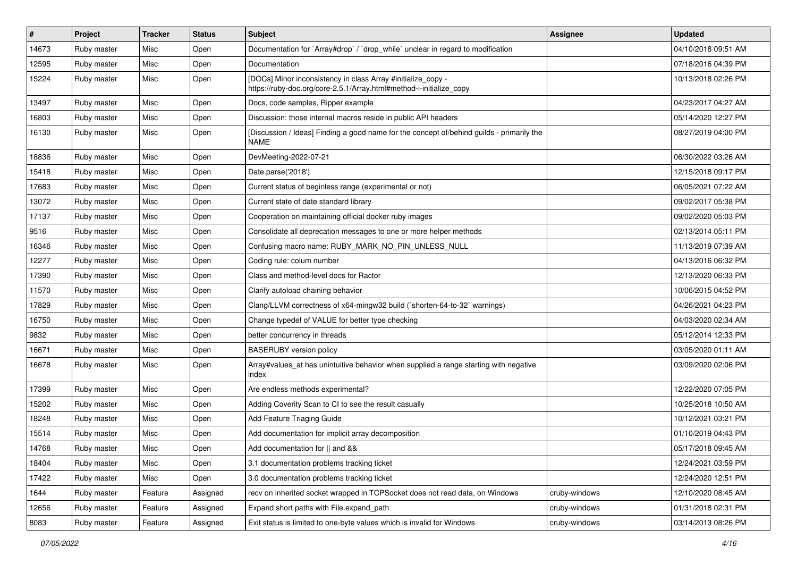| #     | Project     | <b>Tracker</b> | <b>Status</b> | Subject                                                                                                                             | <b>Assignee</b> | <b>Updated</b>      |
|-------|-------------|----------------|---------------|-------------------------------------------------------------------------------------------------------------------------------------|-----------------|---------------------|
| 14673 | Ruby master | Misc           | Open          | Documentation for `Array#drop` / `drop_while` unclear in regard to modification                                                     |                 | 04/10/2018 09:51 AM |
| 12595 | Ruby master | Misc           | Open          | Documentation                                                                                                                       |                 | 07/18/2016 04:39 PM |
| 15224 | Ruby master | Misc           | Open          | [DOCs] Minor inconsistency in class Array #initialize_copy -<br>https://ruby-doc.org/core-2.5.1/Array.html#method-i-initialize_copy |                 | 10/13/2018 02:26 PM |
| 13497 | Ruby master | Misc           | Open          | Docs, code samples, Ripper example                                                                                                  |                 | 04/23/2017 04:27 AM |
| 16803 | Ruby master | Misc           | Open          | Discussion: those internal macros reside in public API headers                                                                      |                 | 05/14/2020 12:27 PM |
| 16130 | Ruby master | Misc           | Open          | [Discussion / Ideas] Finding a good name for the concept of/behind guilds - primarily the<br><b>NAME</b>                            |                 | 08/27/2019 04:00 PM |
| 18836 | Ruby master | Misc           | Open          | DevMeeting-2022-07-21                                                                                                               |                 | 06/30/2022 03:26 AM |
| 15418 | Ruby master | Misc           | Open          | Date.parse('2018')                                                                                                                  |                 | 12/15/2018 09:17 PM |
| 17683 | Ruby master | Misc           | Open          | Current status of beginless range (experimental or not)                                                                             |                 | 06/05/2021 07:22 AM |
| 13072 | Ruby master | Misc           | Open          | Current state of date standard library                                                                                              |                 | 09/02/2017 05:38 PM |
| 17137 | Ruby master | Misc           | Open          | Cooperation on maintaining official docker ruby images                                                                              |                 | 09/02/2020 05:03 PM |
| 9516  | Ruby master | Misc           | Open          | Consolidate all deprecation messages to one or more helper methods                                                                  |                 | 02/13/2014 05:11 PM |
| 16346 | Ruby master | Misc           | Open          | Confusing macro name: RUBY_MARK_NO_PIN_UNLESS_NULL                                                                                  |                 | 11/13/2019 07:39 AM |
| 12277 | Ruby master | Misc           | Open          | Coding rule: colum number                                                                                                           |                 | 04/13/2016 06:32 PM |
| 17390 | Ruby master | Misc           | Open          | Class and method-level docs for Ractor                                                                                              |                 | 12/13/2020 06:33 PM |
| 11570 | Ruby master | Misc           | Open          | Clarify autoload chaining behavior                                                                                                  |                 | 10/06/2015 04:52 PM |
| 17829 | Ruby master | Misc           | Open          | Clang/LLVM correctness of x64-mingw32 build (`shorten-64-to-32` warnings)                                                           |                 | 04/26/2021 04:23 PM |
| 16750 | Ruby master | Misc           | Open          | Change typedef of VALUE for better type checking                                                                                    |                 | 04/03/2020 02:34 AM |
| 9832  | Ruby master | Misc           | Open          | better concurrency in threads                                                                                                       |                 | 05/12/2014 12:33 PM |
| 16671 | Ruby master | Misc           | Open          | <b>BASERUBY</b> version policy                                                                                                      |                 | 03/05/2020 01:11 AM |
| 16678 | Ruby master | Misc           | Open          | Array#values_at has unintuitive behavior when supplied a range starting with negative<br>index                                      |                 | 03/09/2020 02:06 PM |
| 17399 | Ruby master | Misc           | Open          | Are endless methods experimental?                                                                                                   |                 | 12/22/2020 07:05 PM |
| 15202 | Ruby master | Misc           | Open          | Adding Coverity Scan to CI to see the result casually                                                                               |                 | 10/25/2018 10:50 AM |
| 18248 | Ruby master | Misc           | Open          | Add Feature Triaging Guide                                                                                                          |                 | 10/12/2021 03:21 PM |
| 15514 | Ruby master | Misc           | Open          | Add documentation for implicit array decomposition                                                                                  |                 | 01/10/2019 04:43 PM |
| 14768 | Ruby master | Misc           | Open          | Add documentation for    and &&                                                                                                     |                 | 05/17/2018 09:45 AM |
| 18404 | Ruby master | Misc           | Open          | 3.1 documentation problems tracking ticket                                                                                          |                 | 12/24/2021 03:59 PM |
| 17422 | Ruby master | Misc           | Open          | 3.0 documentation problems tracking ticket                                                                                          |                 | 12/24/2020 12:51 PM |
| 1644  | Ruby master | Feature        | Assigned      | recv on inherited socket wrapped in TCPSocket does not read data, on Windows                                                        | cruby-windows   | 12/10/2020 08:45 AM |
| 12656 | Ruby master | Feature        | Assigned      | Expand short paths with File.expand_path                                                                                            | cruby-windows   | 01/31/2018 02:31 PM |
| 8083  | Ruby master | Feature        | Assigned      | Exit status is limited to one-byte values which is invalid for Windows                                                              | cruby-windows   | 03/14/2013 08:26 PM |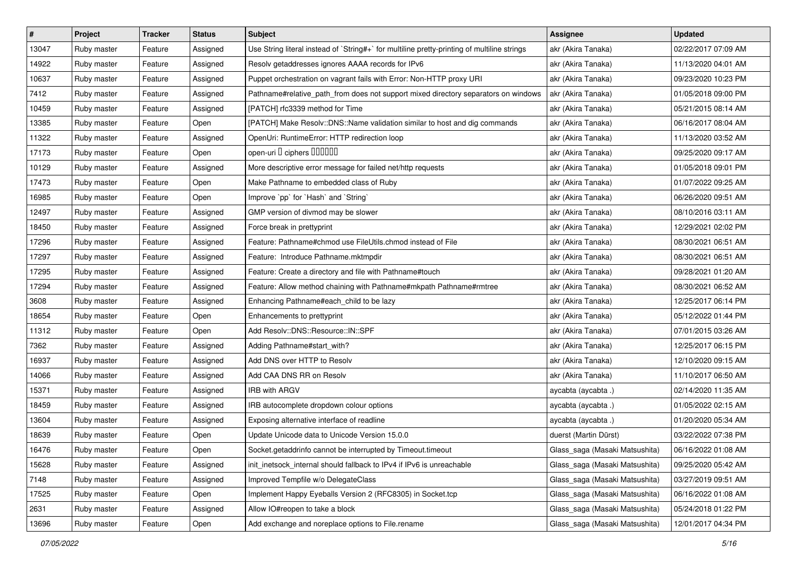| $\vert$ # | Project     | <b>Tracker</b> | <b>Status</b> | <b>Subject</b>                                                                              | <b>Assignee</b>                | <b>Updated</b>      |
|-----------|-------------|----------------|---------------|---------------------------------------------------------------------------------------------|--------------------------------|---------------------|
| 13047     | Ruby master | Feature        | Assigned      | Use String literal instead of `String#+` for multiline pretty-printing of multiline strings | akr (Akira Tanaka)             | 02/22/2017 07:09 AM |
| 14922     | Ruby master | Feature        | Assigned      | Resolv getaddresses ignores AAAA records for IPv6                                           | akr (Akira Tanaka)             | 11/13/2020 04:01 AM |
| 10637     | Ruby master | Feature        | Assigned      | Puppet orchestration on vagrant fails with Error: Non-HTTP proxy URI                        | akr (Akira Tanaka)             | 09/23/2020 10:23 PM |
| 7412      | Ruby master | Feature        | Assigned      | Pathname#relative_path_from does not support mixed directory separators on windows          | akr (Akira Tanaka)             | 01/05/2018 09:00 PM |
| 10459     | Ruby master | Feature        | Assigned      | [PATCH] rfc3339 method for Time                                                             | akr (Akira Tanaka)             | 05/21/2015 08:14 AM |
| 13385     | Ruby master | Feature        | Open          | [PATCH] Make Resolv::DNS::Name validation similar to host and dig commands                  | akr (Akira Tanaka)             | 06/16/2017 08:04 AM |
| 11322     | Ruby master | Feature        | Assigned      | OpenUri: RuntimeError: HTTP redirection loop                                                | akr (Akira Tanaka)             | 11/13/2020 03:52 AM |
| 17173     | Ruby master | Feature        | Open          | open-uri D ciphers DODOOD                                                                   | akr (Akira Tanaka)             | 09/25/2020 09:17 AM |
| 10129     | Ruby master | Feature        | Assigned      | More descriptive error message for failed net/http requests                                 | akr (Akira Tanaka)             | 01/05/2018 09:01 PM |
| 17473     | Ruby master | Feature        | Open          | Make Pathname to embedded class of Ruby                                                     | akr (Akira Tanaka)             | 01/07/2022 09:25 AM |
| 16985     | Ruby master | Feature        | Open          | Improve `pp` for `Hash` and `String`                                                        | akr (Akira Tanaka)             | 06/26/2020 09:51 AM |
| 12497     | Ruby master | Feature        | Assigned      | GMP version of divmod may be slower                                                         | akr (Akira Tanaka)             | 08/10/2016 03:11 AM |
| 18450     | Ruby master | Feature        | Assigned      | Force break in prettyprint                                                                  | akr (Akira Tanaka)             | 12/29/2021 02:02 PM |
| 17296     | Ruby master | Feature        | Assigned      | Feature: Pathname#chmod use FileUtils.chmod instead of File                                 | akr (Akira Tanaka)             | 08/30/2021 06:51 AM |
| 17297     | Ruby master | Feature        | Assigned      | Feature: Introduce Pathname.mktmpdir                                                        | akr (Akira Tanaka)             | 08/30/2021 06:51 AM |
| 17295     | Ruby master | Feature        | Assigned      | Feature: Create a directory and file with Pathname#touch                                    | akr (Akira Tanaka)             | 09/28/2021 01:20 AM |
| 17294     | Ruby master | Feature        | Assigned      | Feature: Allow method chaining with Pathname#mkpath Pathname#rmtree                         | akr (Akira Tanaka)             | 08/30/2021 06:52 AM |
| 3608      | Ruby master | Feature        | Assigned      | Enhancing Pathname#each_child to be lazy                                                    | akr (Akira Tanaka)             | 12/25/2017 06:14 PM |
| 18654     | Ruby master | Feature        | Open          | Enhancements to prettyprint                                                                 | akr (Akira Tanaka)             | 05/12/2022 01:44 PM |
| 11312     | Ruby master | Feature        | Open          | Add Resolv::DNS::Resource::IN::SPF                                                          | akr (Akira Tanaka)             | 07/01/2015 03:26 AM |
| 7362      | Ruby master | Feature        | Assigned      | Adding Pathname#start_with?                                                                 | akr (Akira Tanaka)             | 12/25/2017 06:15 PM |
| 16937     | Ruby master | Feature        | Assigned      | Add DNS over HTTP to Resolv                                                                 | akr (Akira Tanaka)             | 12/10/2020 09:15 AM |
| 14066     | Ruby master | Feature        | Assigned      | Add CAA DNS RR on Resolv                                                                    | akr (Akira Tanaka)             | 11/10/2017 06:50 AM |
| 15371     | Ruby master | Feature        | Assigned      | IRB with ARGV                                                                               | aycabta (aycabta .)            | 02/14/2020 11:35 AM |
| 18459     | Ruby master | Feature        | Assigned      | IRB autocomplete dropdown colour options                                                    | aycabta (aycabta .)            | 01/05/2022 02:15 AM |
| 13604     | Ruby master | Feature        | Assigned      | Exposing alternative interface of readline                                                  | aycabta (aycabta .)            | 01/20/2020 05:34 AM |
| 18639     | Ruby master | Feature        | Open          | Update Unicode data to Unicode Version 15.0.0                                               | duerst (Martin Dürst)          | 03/22/2022 07:38 PM |
| 16476     | Ruby master | Feature        | Open          | Socket.getaddrinfo cannot be interrupted by Timeout.timeout                                 | Glass_saga (Masaki Matsushita) | 06/16/2022 01:08 AM |
| 15628     | Ruby master | Feature        | Assigned      | init inetsock internal should fallback to IPv4 if IPv6 is unreachable                       | Glass saga (Masaki Matsushita) | 09/25/2020 05:42 AM |
| 7148      | Ruby master | Feature        | Assigned      | Improved Tempfile w/o DelegateClass                                                         | Glass_saga (Masaki Matsushita) | 03/27/2019 09:51 AM |
| 17525     | Ruby master | Feature        | Open          | Implement Happy Eyeballs Version 2 (RFC8305) in Socket.tcp                                  | Glass_saga (Masaki Matsushita) | 06/16/2022 01:08 AM |
| 2631      | Ruby master | Feature        | Assigned      | Allow IO#reopen to take a block                                                             | Glass saga (Masaki Matsushita) | 05/24/2018 01:22 PM |
| 13696     | Ruby master | Feature        | Open          | Add exchange and noreplace options to File.rename                                           | Glass_saga (Masaki Matsushita) | 12/01/2017 04:34 PM |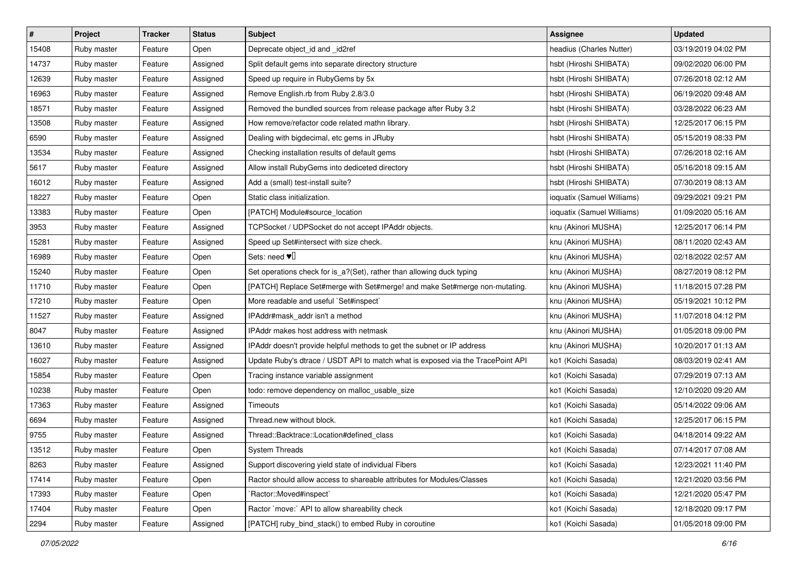| $\vert$ # | Project     | <b>Tracker</b> | <b>Status</b> | <b>Subject</b>                                                                  | <b>Assignee</b>            | <b>Updated</b>      |
|-----------|-------------|----------------|---------------|---------------------------------------------------------------------------------|----------------------------|---------------------|
| 15408     | Ruby master | Feature        | Open          | Deprecate object id and id2ref                                                  | headius (Charles Nutter)   | 03/19/2019 04:02 PM |
| 14737     | Ruby master | Feature        | Assigned      | Split default gems into separate directory structure                            | hsbt (Hiroshi SHIBATA)     | 09/02/2020 06:00 PM |
| 12639     | Ruby master | Feature        | Assigned      | Speed up require in RubyGems by 5x                                              | hsbt (Hiroshi SHIBATA)     | 07/26/2018 02:12 AM |
| 16963     | Ruby master | Feature        | Assigned      | Remove English.rb from Ruby 2.8/3.0                                             | hsbt (Hiroshi SHIBATA)     | 06/19/2020 09:48 AM |
| 18571     | Ruby master | Feature        | Assigned      | Removed the bundled sources from release package after Ruby 3.2                 | hsbt (Hiroshi SHIBATA)     | 03/28/2022 06:23 AM |
| 13508     | Ruby master | Feature        | Assigned      | How remove/refactor code related mathn library.                                 | hsbt (Hiroshi SHIBATA)     | 12/25/2017 06:15 PM |
| 6590      | Ruby master | Feature        | Assigned      | Dealing with bigdecimal, etc gems in JRuby                                      | hsbt (Hiroshi SHIBATA)     | 05/15/2019 08:33 PM |
| 13534     | Ruby master | Feature        | Assigned      | Checking installation results of default gems                                   | hsbt (Hiroshi SHIBATA)     | 07/26/2018 02:16 AM |
| 5617      | Ruby master | Feature        | Assigned      | Allow install RubyGems into dediceted directory                                 | hsbt (Hiroshi SHIBATA)     | 05/16/2018 09:15 AM |
| 16012     | Ruby master | Feature        | Assigned      | Add a (small) test-install suite?                                               | hsbt (Hiroshi SHIBATA)     | 07/30/2019 08:13 AM |
| 18227     | Ruby master | Feature        | Open          | Static class initialization.                                                    | ioquatix (Samuel Williams) | 09/29/2021 09:21 PM |
| 13383     | Ruby master | Feature        | Open          | [PATCH] Module#source_location                                                  | ioquatix (Samuel Williams) | 01/09/2020 05:16 AM |
| 3953      | Ruby master | Feature        | Assigned      | TCPSocket / UDPSocket do not accept IPAddr objects.                             | knu (Akinori MUSHA)        | 12/25/2017 06:14 PM |
| 15281     | Ruby master | Feature        | Assigned      | Speed up Set#intersect with size check.                                         | knu (Akinori MUSHA)        | 08/11/2020 02:43 AM |
| 16989     | Ruby master | Feature        | Open          | Sets: need $\Psi$                                                               | knu (Akinori MUSHA)        | 02/18/2022 02:57 AM |
| 15240     | Ruby master | Feature        | Open          | Set operations check for is a?(Set), rather than allowing duck typing           | knu (Akinori MUSHA)        | 08/27/2019 08:12 PM |
| 11710     | Ruby master | Feature        | Open          | [PATCH] Replace Set#merge with Set#merge! and make Set#merge non-mutating.      | knu (Akinori MUSHA)        | 11/18/2015 07:28 PM |
| 17210     | Ruby master | Feature        | Open          | More readable and useful `Set#inspect`                                          | knu (Akinori MUSHA)        | 05/19/2021 10:12 PM |
| 11527     | Ruby master | Feature        | Assigned      | IPAddr#mask_addr isn't a method                                                 | knu (Akinori MUSHA)        | 11/07/2018 04:12 PM |
| 8047      | Ruby master | Feature        | Assigned      | IPAddr makes host address with netmask                                          | knu (Akinori MUSHA)        | 01/05/2018 09:00 PM |
| 13610     | Ruby master | Feature        | Assigned      | IPAddr doesn't provide helpful methods to get the subnet or IP address          | knu (Akinori MUSHA)        | 10/20/2017 01:13 AM |
| 16027     | Ruby master | Feature        | Assigned      | Update Ruby's dtrace / USDT API to match what is exposed via the TracePoint API | ko1 (Koichi Sasada)        | 08/03/2019 02:41 AM |
| 15854     | Ruby master | Feature        | Open          | Tracing instance variable assignment                                            | ko1 (Koichi Sasada)        | 07/29/2019 07:13 AM |
| 10238     | Ruby master | Feature        | Open          | todo: remove dependency on malloc_usable_size                                   | ko1 (Koichi Sasada)        | 12/10/2020 09:20 AM |
| 17363     | Ruby master | Feature        | Assigned      | Timeouts                                                                        | ko1 (Koichi Sasada)        | 05/14/2022 09:06 AM |
| 6694      | Ruby master | Feature        | Assigned      | Thread.new without block.                                                       | ko1 (Koichi Sasada)        | 12/25/2017 06:15 PM |
| 9755      | Ruby master | Feature        | Assigned      | Thread::Backtrace::Location#defined_class                                       | ko1 (Koichi Sasada)        | 04/18/2014 09:22 AM |
| 13512     | Ruby master | Feature        | Open          | System Threads                                                                  | ko1 (Koichi Sasada)        | 07/14/2017 07:08 AM |
| 8263      | Ruby master | Feature        | Assigned      | Support discovering yield state of individual Fibers                            | ko1 (Koichi Sasada)        | 12/23/2021 11:40 PM |
| 17414     | Ruby master | Feature        | Open          | Ractor should allow access to shareable attributes for Modules/Classes          | ko1 (Koichi Sasada)        | 12/21/2020 03:56 PM |
| 17393     | Ruby master | Feature        | Open          | `Ractor::Moved#inspect`                                                         | ko1 (Koichi Sasada)        | 12/21/2020 05:47 PM |
| 17404     | Ruby master | Feature        | Open          | Ractor `move:` API to allow shareability check                                  | ko1 (Koichi Sasada)        | 12/18/2020 09:17 PM |
| 2294      | Ruby master | Feature        | Assigned      | [PATCH] ruby_bind_stack() to embed Ruby in coroutine                            | ko1 (Koichi Sasada)        | 01/05/2018 09:00 PM |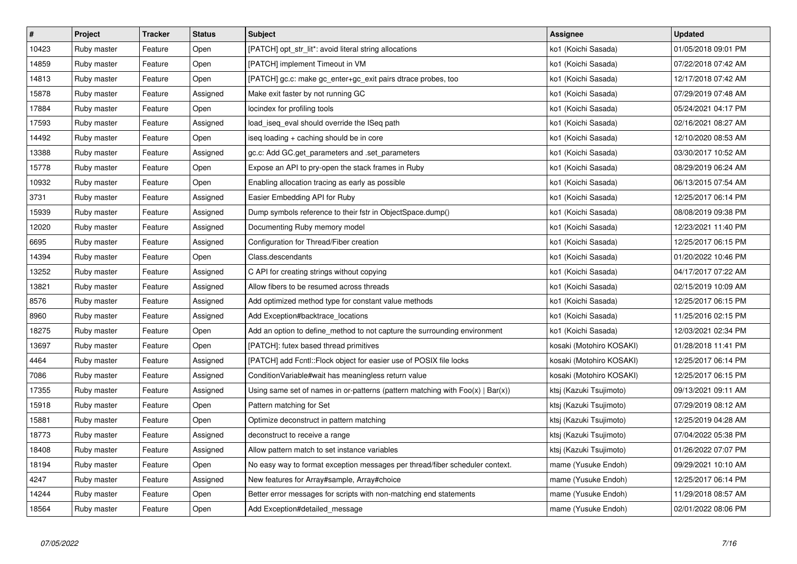| $\vert$ # | Project     | <b>Tracker</b> | <b>Status</b> | <b>Subject</b>                                                                    | <b>Assignee</b>          | <b>Updated</b>      |
|-----------|-------------|----------------|---------------|-----------------------------------------------------------------------------------|--------------------------|---------------------|
| 10423     | Ruby master | Feature        | Open          | [PATCH] opt str lit*: avoid literal string allocations                            | ko1 (Koichi Sasada)      | 01/05/2018 09:01 PM |
| 14859     | Ruby master | Feature        | Open          | [PATCH] implement Timeout in VM                                                   | ko1 (Koichi Sasada)      | 07/22/2018 07:42 AM |
| 14813     | Ruby master | Feature        | Open          | [PATCH] gc.c: make gc enter+gc exit pairs dtrace probes, too                      | ko1 (Koichi Sasada)      | 12/17/2018 07:42 AM |
| 15878     | Ruby master | Feature        | Assigned      | Make exit faster by not running GC                                                | ko1 (Koichi Sasada)      | 07/29/2019 07:48 AM |
| 17884     | Ruby master | Feature        | Open          | locindex for profiling tools                                                      | ko1 (Koichi Sasada)      | 05/24/2021 04:17 PM |
| 17593     | Ruby master | Feature        | Assigned      | load_iseq_eval should override the ISeq path                                      | ko1 (Koichi Sasada)      | 02/16/2021 08:27 AM |
| 14492     | Ruby master | Feature        | Open          | iseq loading + caching should be in core                                          | ko1 (Koichi Sasada)      | 12/10/2020 08:53 AM |
| 13388     | Ruby master | Feature        | Assigned      | gc.c: Add GC.get parameters and set parameters                                    | ko1 (Koichi Sasada)      | 03/30/2017 10:52 AM |
| 15778     | Ruby master | Feature        | Open          | Expose an API to pry-open the stack frames in Ruby                                | ko1 (Koichi Sasada)      | 08/29/2019 06:24 AM |
| 10932     | Ruby master | Feature        | Open          | Enabling allocation tracing as early as possible                                  | ko1 (Koichi Sasada)      | 06/13/2015 07:54 AM |
| 3731      | Ruby master | Feature        | Assigned      | Easier Embedding API for Ruby                                                     | ko1 (Koichi Sasada)      | 12/25/2017 06:14 PM |
| 15939     | Ruby master | Feature        | Assigned      | Dump symbols reference to their fstr in ObjectSpace.dump()                        | ko1 (Koichi Sasada)      | 08/08/2019 09:38 PM |
| 12020     | Ruby master | Feature        | Assigned      | Documenting Ruby memory model                                                     | ko1 (Koichi Sasada)      | 12/23/2021 11:40 PM |
| 6695      | Ruby master | Feature        | Assigned      | Configuration for Thread/Fiber creation                                           | ko1 (Koichi Sasada)      | 12/25/2017 06:15 PM |
| 14394     | Ruby master | Feature        | Open          | Class.descendants                                                                 | ko1 (Koichi Sasada)      | 01/20/2022 10:46 PM |
| 13252     | Ruby master | Feature        | Assigned      | C API for creating strings without copying                                        | ko1 (Koichi Sasada)      | 04/17/2017 07:22 AM |
| 13821     | Ruby master | Feature        | Assigned      | Allow fibers to be resumed across threads                                         | ko1 (Koichi Sasada)      | 02/15/2019 10:09 AM |
| 8576      | Ruby master | Feature        | Assigned      | Add optimized method type for constant value methods                              | ko1 (Koichi Sasada)      | 12/25/2017 06:15 PM |
| 8960      | Ruby master | Feature        | Assigned      | Add Exception#backtrace_locations                                                 | ko1 (Koichi Sasada)      | 11/25/2016 02:15 PM |
| 18275     | Ruby master | Feature        | Open          | Add an option to define_method to not capture the surrounding environment         | ko1 (Koichi Sasada)      | 12/03/2021 02:34 PM |
| 13697     | Ruby master | Feature        | Open          | [PATCH]: futex based thread primitives                                            | kosaki (Motohiro KOSAKI) | 01/28/2018 11:41 PM |
| 4464      | Ruby master | Feature        | Assigned      | [PATCH] add Fcntl::Flock object for easier use of POSIX file locks                | kosaki (Motohiro KOSAKI) | 12/25/2017 06:14 PM |
| 7086      | Ruby master | Feature        | Assigned      | ConditionVariable#wait has meaningless return value                               | kosaki (Motohiro KOSAKI) | 12/25/2017 06:15 PM |
| 17355     | Ruby master | Feature        | Assigned      | Using same set of names in or-patterns (pattern matching with $Foo(x)   Bar(x)$ ) | ktsj (Kazuki Tsujimoto)  | 09/13/2021 09:11 AM |
| 15918     | Ruby master | Feature        | Open          | Pattern matching for Set                                                          | ktsj (Kazuki Tsujimoto)  | 07/29/2019 08:12 AM |
| 15881     | Ruby master | Feature        | Open          | Optimize deconstruct in pattern matching                                          | ktsi (Kazuki Tsujimoto)  | 12/25/2019 04:28 AM |
| 18773     | Ruby master | Feature        | Assigned      | deconstruct to receive a range                                                    | ktsj (Kazuki Tsujimoto)  | 07/04/2022 05:38 PM |
| 18408     | Ruby master | Feature        | Assigned      | Allow pattern match to set instance variables                                     | ktsj (Kazuki Tsujimoto)  | 01/26/2022 07:07 PM |
| 18194     | Ruby master | Feature        | Open          | No easy way to format exception messages per thread/fiber scheduler context.      | mame (Yusuke Endoh)      | 09/29/2021 10:10 AM |
| 4247      | Ruby master | Feature        | Assigned      | New features for Array#sample, Array#choice                                       | mame (Yusuke Endoh)      | 12/25/2017 06:14 PM |
| 14244     | Ruby master | Feature        | Open          | Better error messages for scripts with non-matching end statements                | mame (Yusuke Endoh)      | 11/29/2018 08:57 AM |
| 18564     | Ruby master | Feature        | Open          | Add Exception#detailed message                                                    | mame (Yusuke Endoh)      | 02/01/2022 08:06 PM |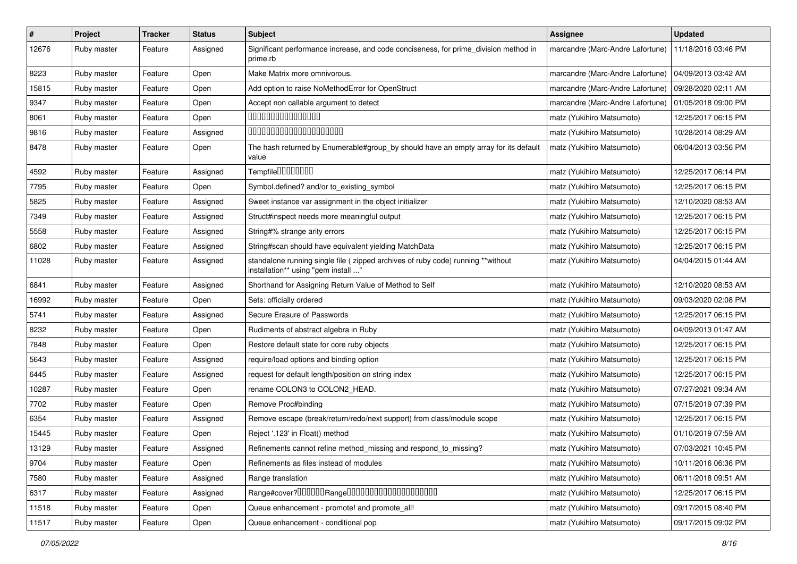| $\pmb{\#}$ | Project     | <b>Tracker</b> | <b>Status</b> | Subject                                                                                                                 | <b>Assignee</b>                  | <b>Updated</b>      |
|------------|-------------|----------------|---------------|-------------------------------------------------------------------------------------------------------------------------|----------------------------------|---------------------|
| 12676      | Ruby master | Feature        | Assigned      | Significant performance increase, and code conciseness, for prime_division method in<br>prime.rb                        | marcandre (Marc-Andre Lafortune) | 11/18/2016 03:46 PM |
| 8223       | Ruby master | Feature        | Open          | Make Matrix more omnivorous.                                                                                            | marcandre (Marc-Andre Lafortune) | 04/09/2013 03:42 AM |
| 15815      | Ruby master | Feature        | Open          | Add option to raise NoMethodError for OpenStruct                                                                        | marcandre (Marc-Andre Lafortune) | 09/28/2020 02:11 AM |
| 9347       | Ruby master | Feature        | Open          | Accept non callable argument to detect                                                                                  | marcandre (Marc-Andre Lafortune) | 01/05/2018 09:00 PM |
| 8061       | Ruby master | Feature        | Open          | 000000000000000                                                                                                         | matz (Yukihiro Matsumoto)        | 12/25/2017 06:15 PM |
| 9816       | Ruby master | Feature        | Assigned      | 00000000000000000000                                                                                                    | matz (Yukihiro Matsumoto)        | 10/28/2014 08:29 AM |
| 8478       | Ruby master | Feature        | Open          | The hash returned by Enumerable#group_by should have an empty array for its default<br>value                            | matz (Yukihiro Matsumoto)        | 06/04/2013 03:56 PM |
| 4592       | Ruby master | Feature        | Assigned      | Tempfile0000000                                                                                                         | matz (Yukihiro Matsumoto)        | 12/25/2017 06:14 PM |
| 7795       | Ruby master | Feature        | Open          | Symbol.defined? and/or to existing symbol                                                                               | matz (Yukihiro Matsumoto)        | 12/25/2017 06:15 PM |
| 5825       | Ruby master | Feature        | Assigned      | Sweet instance var assignment in the object initializer                                                                 | matz (Yukihiro Matsumoto)        | 12/10/2020 08:53 AM |
| 7349       | Ruby master | Feature        | Assigned      | Struct#inspect needs more meaningful output                                                                             | matz (Yukihiro Matsumoto)        | 12/25/2017 06:15 PM |
| 5558       | Ruby master | Feature        | Assigned      | String#% strange arity errors                                                                                           | matz (Yukihiro Matsumoto)        | 12/25/2017 06:15 PM |
| 6802       | Ruby master | Feature        | Assigned      | String#scan should have equivalent yielding MatchData                                                                   | matz (Yukihiro Matsumoto)        | 12/25/2017 06:15 PM |
| 11028      | Ruby master | Feature        | Assigned      | standalone running single file ( zipped archives of ruby code) running **without<br>installation** using "gem install " | matz (Yukihiro Matsumoto)        | 04/04/2015 01:44 AM |
| 6841       | Ruby master | Feature        | Assigned      | Shorthand for Assigning Return Value of Method to Self                                                                  | matz (Yukihiro Matsumoto)        | 12/10/2020 08:53 AM |
| 16992      | Ruby master | Feature        | Open          | Sets: officially ordered                                                                                                | matz (Yukihiro Matsumoto)        | 09/03/2020 02:08 PM |
| 5741       | Ruby master | Feature        | Assigned      | Secure Erasure of Passwords                                                                                             | matz (Yukihiro Matsumoto)        | 12/25/2017 06:15 PM |
| 8232       | Ruby master | Feature        | Open          | Rudiments of abstract algebra in Ruby                                                                                   | matz (Yukihiro Matsumoto)        | 04/09/2013 01:47 AM |
| 7848       | Ruby master | Feature        | Open          | Restore default state for core ruby objects                                                                             | matz (Yukihiro Matsumoto)        | 12/25/2017 06:15 PM |
| 5643       | Ruby master | Feature        | Assigned      | require/load options and binding option                                                                                 | matz (Yukihiro Matsumoto)        | 12/25/2017 06:15 PM |
| 6445       | Ruby master | Feature        | Assigned      | request for default length/position on string index                                                                     | matz (Yukihiro Matsumoto)        | 12/25/2017 06:15 PM |
| 10287      | Ruby master | Feature        | Open          | rename COLON3 to COLON2_HEAD.                                                                                           | matz (Yukihiro Matsumoto)        | 07/27/2021 09:34 AM |
| 7702       | Ruby master | Feature        | Open          | Remove Proc#binding                                                                                                     | matz (Yukihiro Matsumoto)        | 07/15/2019 07:39 PM |
| 6354       | Ruby master | Feature        | Assigned      | Remove escape (break/return/redo/next support) from class/module scope                                                  | matz (Yukihiro Matsumoto)        | 12/25/2017 06:15 PM |
| 15445      | Ruby master | Feature        | Open          | Reject '.123' in Float() method                                                                                         | matz (Yukihiro Matsumoto)        | 01/10/2019 07:59 AM |
| 13129      | Ruby master | Feature        | Assigned      | Refinements cannot refine method_missing and respond_to_missing?                                                        | matz (Yukihiro Matsumoto)        | 07/03/2021 10:45 PM |
| 9704       | Ruby master | Feature        | Open          | Refinements as files instead of modules                                                                                 | matz (Yukihiro Matsumoto)        | 10/11/2016 06:36 PM |
| 7580       | Ruby master | Feature        | Assigned      | Range translation                                                                                                       | matz (Yukihiro Matsumoto)        | 06/11/2018 09:51 AM |
| 6317       | Ruby master | Feature        | Assigned      | Range#cover?000000Range00000000000000000000                                                                             | matz (Yukihiro Matsumoto)        | 12/25/2017 06:15 PM |
| 11518      | Ruby master | Feature        | Open          | Queue enhancement - promote! and promote all!                                                                           | matz (Yukihiro Matsumoto)        | 09/17/2015 08:40 PM |
| 11517      | Ruby master | Feature        | Open          | Queue enhancement - conditional pop                                                                                     | matz (Yukihiro Matsumoto)        | 09/17/2015 09:02 PM |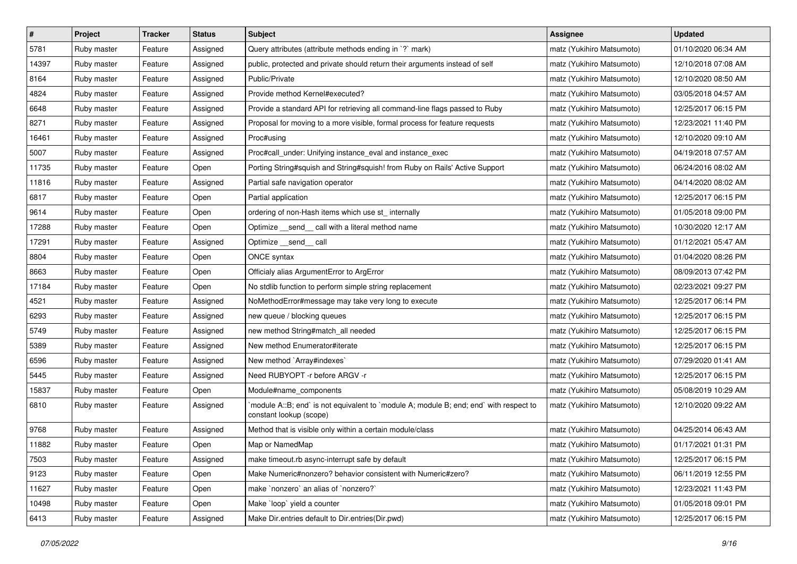| $\sharp$ | Project     | <b>Tracker</b> | <b>Status</b> | <b>Subject</b>                                                                                                    | <b>Assignee</b>           | <b>Updated</b>      |
|----------|-------------|----------------|---------------|-------------------------------------------------------------------------------------------------------------------|---------------------------|---------------------|
| 5781     | Ruby master | Feature        | Assigned      | Query attributes (attribute methods ending in `?` mark)                                                           | matz (Yukihiro Matsumoto) | 01/10/2020 06:34 AM |
| 14397    | Ruby master | Feature        | Assigned      | public, protected and private should return their arguments instead of self                                       | matz (Yukihiro Matsumoto) | 12/10/2018 07:08 AM |
| 8164     | Ruby master | Feature        | Assigned      | Public/Private                                                                                                    | matz (Yukihiro Matsumoto) | 12/10/2020 08:50 AM |
| 4824     | Ruby master | Feature        | Assigned      | Provide method Kernel#executed?                                                                                   | matz (Yukihiro Matsumoto) | 03/05/2018 04:57 AM |
| 6648     | Ruby master | Feature        | Assigned      | Provide a standard API for retrieving all command-line flags passed to Ruby                                       | matz (Yukihiro Matsumoto) | 12/25/2017 06:15 PM |
| 8271     | Ruby master | Feature        | Assigned      | Proposal for moving to a more visible, formal process for feature requests                                        | matz (Yukihiro Matsumoto) | 12/23/2021 11:40 PM |
| 16461    | Ruby master | Feature        | Assigned      | Proc#using                                                                                                        | matz (Yukihiro Matsumoto) | 12/10/2020 09:10 AM |
| 5007     | Ruby master | Feature        | Assigned      | Proc#call_under: Unifying instance_eval and instance_exec                                                         | matz (Yukihiro Matsumoto) | 04/19/2018 07:57 AM |
| 11735    | Ruby master | Feature        | Open          | Porting String#squish and String#squish! from Ruby on Rails' Active Support                                       | matz (Yukihiro Matsumoto) | 06/24/2016 08:02 AM |
| 11816    | Ruby master | Feature        | Assigned      | Partial safe navigation operator                                                                                  | matz (Yukihiro Matsumoto) | 04/14/2020 08:02 AM |
| 6817     | Ruby master | Feature        | Open          | Partial application                                                                                               | matz (Yukihiro Matsumoto) | 12/25/2017 06:15 PM |
| 9614     | Ruby master | Feature        | Open          | ordering of non-Hash items which use st_ internally                                                               | matz (Yukihiro Matsumoto) | 01/05/2018 09:00 PM |
| 17288    | Ruby master | Feature        | Open          | Optimize _send_ call with a literal method name                                                                   | matz (Yukihiro Matsumoto) | 10/30/2020 12:17 AM |
| 17291    | Ruby master | Feature        | Assigned      | Optimize __send__ call                                                                                            | matz (Yukihiro Matsumoto) | 01/12/2021 05:47 AM |
| 8804     | Ruby master | Feature        | Open          | ONCE syntax                                                                                                       | matz (Yukihiro Matsumoto) | 01/04/2020 08:26 PM |
| 8663     | Ruby master | Feature        | Open          | Officialy alias ArgumentError to ArgError                                                                         | matz (Yukihiro Matsumoto) | 08/09/2013 07:42 PM |
| 17184    | Ruby master | Feature        | Open          | No stdlib function to perform simple string replacement                                                           | matz (Yukihiro Matsumoto) | 02/23/2021 09:27 PM |
| 4521     | Ruby master | Feature        | Assigned      | NoMethodError#message may take very long to execute                                                               | matz (Yukihiro Matsumoto) | 12/25/2017 06:14 PM |
| 6293     | Ruby master | Feature        | Assigned      | new queue / blocking queues                                                                                       | matz (Yukihiro Matsumoto) | 12/25/2017 06:15 PM |
| 5749     | Ruby master | Feature        | Assigned      | new method String#match_all needed                                                                                | matz (Yukihiro Matsumoto) | 12/25/2017 06:15 PM |
| 5389     | Ruby master | Feature        | Assigned      | New method Enumerator#iterate                                                                                     | matz (Yukihiro Matsumoto) | 12/25/2017 06:15 PM |
| 6596     | Ruby master | Feature        | Assigned      | New method `Array#indexes`                                                                                        | matz (Yukihiro Matsumoto) | 07/29/2020 01:41 AM |
| 5445     | Ruby master | Feature        | Assigned      | Need RUBYOPT - r before ARGV - r                                                                                  | matz (Yukihiro Matsumoto) | 12/25/2017 06:15 PM |
| 15837    | Ruby master | Feature        | Open          | Module#name components                                                                                            | matz (Yukihiro Matsumoto) | 05/08/2019 10:29 AM |
| 6810     | Ruby master | Feature        | Assigned      | 'module A::B; end' is not equivalent to 'module A; module B; end; end' with respect to<br>constant lookup (scope) | matz (Yukihiro Matsumoto) | 12/10/2020 09:22 AM |
| 9768     | Ruby master | Feature        | Assigned      | Method that is visible only within a certain module/class                                                         | matz (Yukihiro Matsumoto) | 04/25/2014 06:43 AM |
| 11882    | Ruby master | Feature        | Open          | Map or NamedMap                                                                                                   | matz (Yukihiro Matsumoto) | 01/17/2021 01:31 PM |
| 7503     | Ruby master | Feature        | Assigned      | make timeout.rb async-interrupt safe by default                                                                   | matz (Yukihiro Matsumoto) | 12/25/2017 06:15 PM |
| 9123     | Ruby master | Feature        | Open          | Make Numeric#nonzero? behavior consistent with Numeric#zero?                                                      | matz (Yukihiro Matsumoto) | 06/11/2019 12:55 PM |
| 11627    | Ruby master | Feature        | Open          | make 'nonzero' an alias of 'nonzero?'                                                                             | matz (Yukihiro Matsumoto) | 12/23/2021 11:43 PM |
| 10498    | Ruby master | Feature        | Open          | Make `loop` yield a counter                                                                                       | matz (Yukihiro Matsumoto) | 01/05/2018 09:01 PM |
| 6413     | Ruby master | Feature        | Assigned      | Make Dir.entries default to Dir.entries(Dir.pwd)                                                                  | matz (Yukihiro Matsumoto) | 12/25/2017 06:15 PM |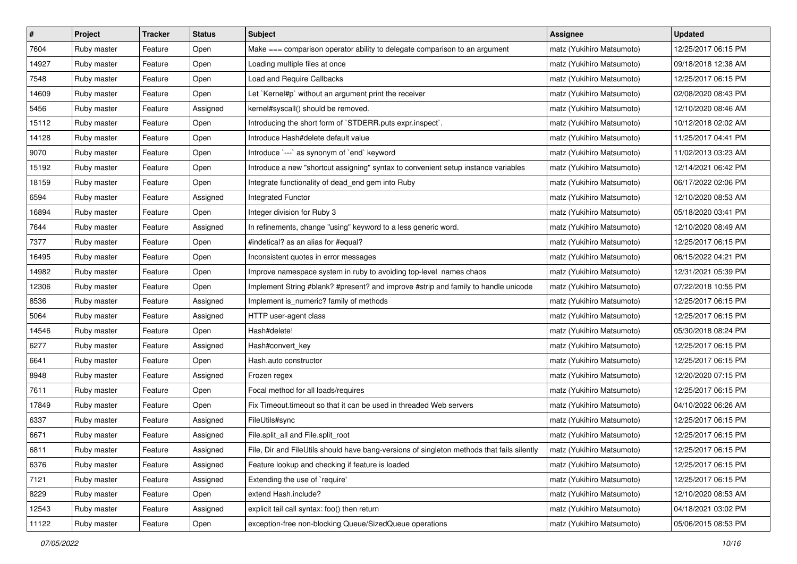| $\sharp$ | Project     | <b>Tracker</b> | <b>Status</b> | <b>Subject</b>                                                                             | <b>Assignee</b>           | <b>Updated</b>      |
|----------|-------------|----------------|---------------|--------------------------------------------------------------------------------------------|---------------------------|---------------------|
| 7604     | Ruby master | Feature        | Open          | Make === comparison operator ability to delegate comparison to an argument                 | matz (Yukihiro Matsumoto) | 12/25/2017 06:15 PM |
| 14927    | Ruby master | Feature        | Open          | Loading multiple files at once                                                             | matz (Yukihiro Matsumoto) | 09/18/2018 12:38 AM |
| 7548     | Ruby master | Feature        | Open          | Load and Require Callbacks                                                                 | matz (Yukihiro Matsumoto) | 12/25/2017 06:15 PM |
| 14609    | Ruby master | Feature        | Open          | Let `Kernel#p` without an argument print the receiver                                      | matz (Yukihiro Matsumoto) | 02/08/2020 08:43 PM |
| 5456     | Ruby master | Feature        | Assigned      | kernel#syscall() should be removed.                                                        | matz (Yukihiro Matsumoto) | 12/10/2020 08:46 AM |
| 15112    | Ruby master | Feature        | Open          | Introducing the short form of `STDERR.puts expr.inspect`.                                  | matz (Yukihiro Matsumoto) | 10/12/2018 02:02 AM |
| 14128    | Ruby master | Feature        | Open          | Introduce Hash#delete default value                                                        | matz (Yukihiro Matsumoto) | 11/25/2017 04:41 PM |
| 9070     | Ruby master | Feature        | Open          | Introduce `---` as synonym of `end` keyword                                                | matz (Yukihiro Matsumoto) | 11/02/2013 03:23 AM |
| 15192    | Ruby master | Feature        | Open          | Introduce a new "shortcut assigning" syntax to convenient setup instance variables         | matz (Yukihiro Matsumoto) | 12/14/2021 06:42 PM |
| 18159    | Ruby master | Feature        | Open          | Integrate functionality of dead_end gem into Ruby                                          | matz (Yukihiro Matsumoto) | 06/17/2022 02:06 PM |
| 6594     | Ruby master | Feature        | Assigned      | <b>Integrated Functor</b>                                                                  | matz (Yukihiro Matsumoto) | 12/10/2020 08:53 AM |
| 16894    | Ruby master | Feature        | Open          | Integer division for Ruby 3                                                                | matz (Yukihiro Matsumoto) | 05/18/2020 03:41 PM |
| 7644     | Ruby master | Feature        | Assigned      | In refinements, change "using" keyword to a less generic word.                             | matz (Yukihiro Matsumoto) | 12/10/2020 08:49 AM |
| 7377     | Ruby master | Feature        | Open          | #indetical? as an alias for #equal?                                                        | matz (Yukihiro Matsumoto) | 12/25/2017 06:15 PM |
| 16495    | Ruby master | Feature        | Open          | Inconsistent quotes in error messages                                                      | matz (Yukihiro Matsumoto) | 06/15/2022 04:21 PM |
| 14982    | Ruby master | Feature        | Open          | Improve namespace system in ruby to avoiding top-level names chaos                         | matz (Yukihiro Matsumoto) | 12/31/2021 05:39 PM |
| 12306    | Ruby master | Feature        | Open          | Implement String #blank? #present? and improve #strip and family to handle unicode         | matz (Yukihiro Matsumoto) | 07/22/2018 10:55 PM |
| 8536     | Ruby master | Feature        | Assigned      | Implement is_numeric? family of methods                                                    | matz (Yukihiro Matsumoto) | 12/25/2017 06:15 PM |
| 5064     | Ruby master | Feature        | Assigned      | HTTP user-agent class                                                                      | matz (Yukihiro Matsumoto) | 12/25/2017 06:15 PM |
| 14546    | Ruby master | Feature        | Open          | Hash#delete!                                                                               | matz (Yukihiro Matsumoto) | 05/30/2018 08:24 PM |
| 6277     | Ruby master | Feature        | Assigned      | Hash#convert key                                                                           | matz (Yukihiro Matsumoto) | 12/25/2017 06:15 PM |
| 6641     | Ruby master | Feature        | Open          | Hash.auto constructor                                                                      | matz (Yukihiro Matsumoto) | 12/25/2017 06:15 PM |
| 8948     | Ruby master | Feature        | Assigned      | Frozen regex                                                                               | matz (Yukihiro Matsumoto) | 12/20/2020 07:15 PM |
| 7611     | Ruby master | Feature        | Open          | Focal method for all loads/requires                                                        | matz (Yukihiro Matsumoto) | 12/25/2017 06:15 PM |
| 17849    | Ruby master | Feature        | Open          | Fix Timeout timeout so that it can be used in threaded Web servers                         | matz (Yukihiro Matsumoto) | 04/10/2022 06:26 AM |
| 6337     | Ruby master | Feature        | Assigned      | FileUtils#sync                                                                             | matz (Yukihiro Matsumoto) | 12/25/2017 06:15 PM |
| 6671     | Ruby master | Feature        | Assigned      | File.split_all and File.split_root                                                         | matz (Yukihiro Matsumoto) | 12/25/2017 06:15 PM |
| 6811     | Ruby master | Feature        | Assigned      | File, Dir and FileUtils should have bang-versions of singleton methods that fails silently | matz (Yukihiro Matsumoto) | 12/25/2017 06:15 PM |
| 6376     | Ruby master | Feature        | Assigned      | Feature lookup and checking if feature is loaded                                           | matz (Yukihiro Matsumoto) | 12/25/2017 06:15 PM |
| 7121     | Ruby master | Feature        | Assigned      | Extending the use of `require'                                                             | matz (Yukihiro Matsumoto) | 12/25/2017 06:15 PM |
| 8229     | Ruby master | Feature        | Open          | extend Hash.include?                                                                       | matz (Yukihiro Matsumoto) | 12/10/2020 08:53 AM |
| 12543    | Ruby master | Feature        | Assigned      | explicit tail call syntax: foo() then return                                               | matz (Yukihiro Matsumoto) | 04/18/2021 03:02 PM |
| 11122    | Ruby master | Feature        | Open          | exception-free non-blocking Queue/SizedQueue operations                                    | matz (Yukihiro Matsumoto) | 05/06/2015 08:53 PM |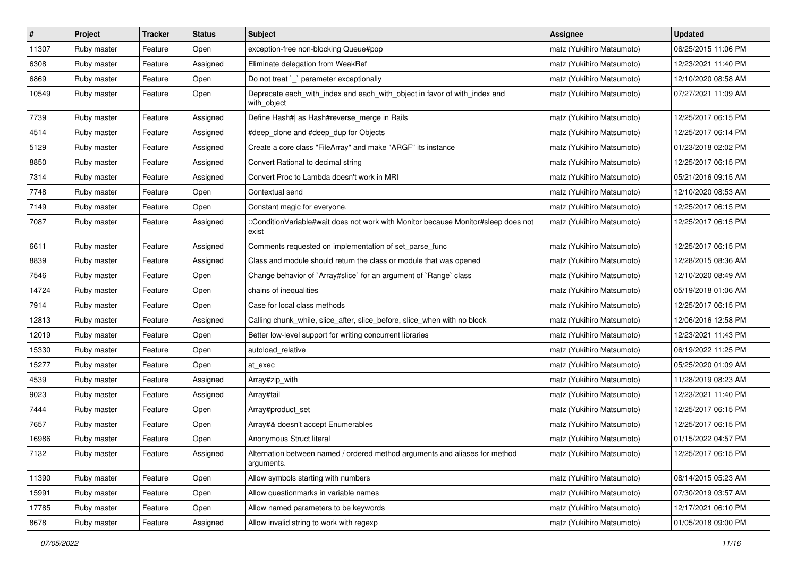| $\vert$ # | Project     | <b>Tracker</b> | <b>Status</b> | <b>Subject</b>                                                                              | <b>Assignee</b>           | <b>Updated</b>      |
|-----------|-------------|----------------|---------------|---------------------------------------------------------------------------------------------|---------------------------|---------------------|
| 11307     | Ruby master | Feature        | Open          | exception-free non-blocking Queue#pop                                                       | matz (Yukihiro Matsumoto) | 06/25/2015 11:06 PM |
| 6308      | Ruby master | Feature        | Assigned      | Eliminate delegation from WeakRef                                                           | matz (Yukihiro Matsumoto) | 12/23/2021 11:40 PM |
| 6869      | Ruby master | Feature        | Open          | Do not treat `_` parameter exceptionally                                                    | matz (Yukihiro Matsumoto) | 12/10/2020 08:58 AM |
| 10549     | Ruby master | Feature        | Open          | Deprecate each_with_index and each_with_object in favor of with_index and<br>with_object    | matz (Yukihiro Matsumoto) | 07/27/2021 11:09 AM |
| 7739      | Ruby master | Feature        | Assigned      | Define Hash#  as Hash#reverse_merge in Rails                                                | matz (Yukihiro Matsumoto) | 12/25/2017 06:15 PM |
| 4514      | Ruby master | Feature        | Assigned      | #deep_clone and #deep_dup for Objects                                                       | matz (Yukihiro Matsumoto) | 12/25/2017 06:14 PM |
| 5129      | Ruby master | Feature        | Assigned      | Create a core class "FileArray" and make "ARGF" its instance                                | matz (Yukihiro Matsumoto) | 01/23/2018 02:02 PM |
| 8850      | Ruby master | Feature        | Assigned      | Convert Rational to decimal string                                                          | matz (Yukihiro Matsumoto) | 12/25/2017 06:15 PM |
| 7314      | Ruby master | Feature        | Assigned      | Convert Proc to Lambda doesn't work in MRI                                                  | matz (Yukihiro Matsumoto) | 05/21/2016 09:15 AM |
| 7748      | Ruby master | Feature        | Open          | Contextual send                                                                             | matz (Yukihiro Matsumoto) | 12/10/2020 08:53 AM |
| 7149      | Ruby master | Feature        | Open          | Constant magic for everyone.                                                                | matz (Yukihiro Matsumoto) | 12/25/2017 06:15 PM |
| 7087      | Ruby master | Feature        | Assigned      | ::ConditionVariable#wait does not work with Monitor because Monitor#sleep does not<br>exist | matz (Yukihiro Matsumoto) | 12/25/2017 06:15 PM |
| 6611      | Ruby master | Feature        | Assigned      | Comments requested on implementation of set_parse_func                                      | matz (Yukihiro Matsumoto) | 12/25/2017 06:15 PM |
| 8839      | Ruby master | Feature        | Assigned      | Class and module should return the class or module that was opened                          | matz (Yukihiro Matsumoto) | 12/28/2015 08:36 AM |
| 7546      | Ruby master | Feature        | Open          | Change behavior of `Array#slice` for an argument of `Range` class                           | matz (Yukihiro Matsumoto) | 12/10/2020 08:49 AM |
| 14724     | Ruby master | Feature        | Open          | chains of inequalities                                                                      | matz (Yukihiro Matsumoto) | 05/19/2018 01:06 AM |
| 7914      | Ruby master | Feature        | Open          | Case for local class methods                                                                | matz (Yukihiro Matsumoto) | 12/25/2017 06:15 PM |
| 12813     | Ruby master | Feature        | Assigned      | Calling chunk_while, slice_after, slice_before, slice_when with no block                    | matz (Yukihiro Matsumoto) | 12/06/2016 12:58 PM |
| 12019     | Ruby master | Feature        | Open          | Better low-level support for writing concurrent libraries                                   | matz (Yukihiro Matsumoto) | 12/23/2021 11:43 PM |
| 15330     | Ruby master | Feature        | Open          | autoload_relative                                                                           | matz (Yukihiro Matsumoto) | 06/19/2022 11:25 PM |
| 15277     | Ruby master | Feature        | Open          | at exec                                                                                     | matz (Yukihiro Matsumoto) | 05/25/2020 01:09 AM |
| 4539      | Ruby master | Feature        | Assigned      | Array#zip_with                                                                              | matz (Yukihiro Matsumoto) | 11/28/2019 08:23 AM |
| 9023      | Ruby master | Feature        | Assigned      | Array#tail                                                                                  | matz (Yukihiro Matsumoto) | 12/23/2021 11:40 PM |
| 7444      | Ruby master | Feature        | Open          | Array#product_set                                                                           | matz (Yukihiro Matsumoto) | 12/25/2017 06:15 PM |
| 7657      | Ruby master | Feature        | Open          | Array#& doesn't accept Enumerables                                                          | matz (Yukihiro Matsumoto) | 12/25/2017 06:15 PM |
| 16986     | Ruby master | Feature        | Open          | Anonymous Struct literal                                                                    | matz (Yukihiro Matsumoto) | 01/15/2022 04:57 PM |
| 7132      | Ruby master | Feature        | Assigned      | Alternation between named / ordered method arguments and aliases for method<br>arguments.   | matz (Yukihiro Matsumoto) | 12/25/2017 06:15 PM |
| 11390     | Ruby master | Feature        | Open          | Allow symbols starting with numbers                                                         | matz (Yukihiro Matsumoto) | 08/14/2015 05:23 AM |
| 15991     | Ruby master | Feature        | Open          | Allow questionmarks in variable names                                                       | matz (Yukihiro Matsumoto) | 07/30/2019 03:57 AM |
| 17785     | Ruby master | Feature        | Open          | Allow named parameters to be keywords                                                       | matz (Yukihiro Matsumoto) | 12/17/2021 06:10 PM |
| 8678      | Ruby master | Feature        | Assigned      | Allow invalid string to work with regexp                                                    | matz (Yukihiro Matsumoto) | 01/05/2018 09:00 PM |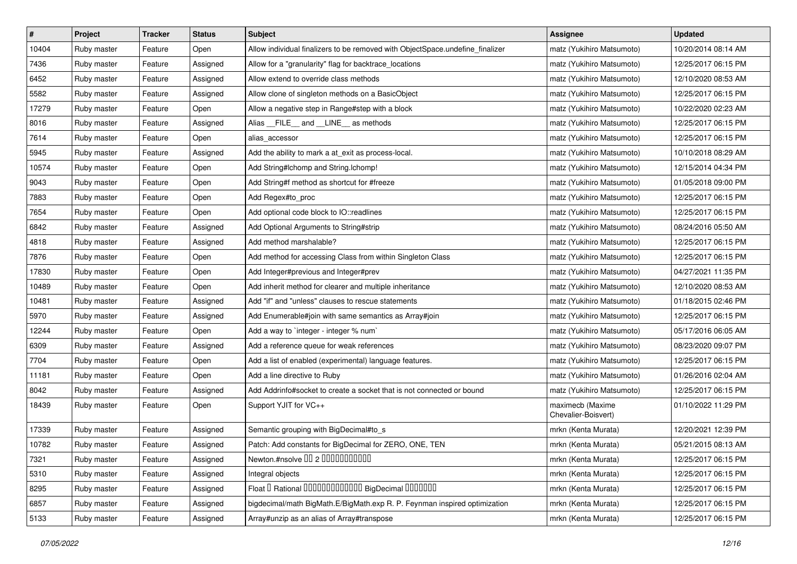| $\vert$ # | Project     | <b>Tracker</b> | <b>Status</b> | <b>Subject</b>                                                                | <b>Assignee</b>                         | <b>Updated</b>      |
|-----------|-------------|----------------|---------------|-------------------------------------------------------------------------------|-----------------------------------------|---------------------|
| 10404     | Ruby master | Feature        | Open          | Allow individual finalizers to be removed with ObjectSpace.undefine finalizer | matz (Yukihiro Matsumoto)               | 10/20/2014 08:14 AM |
| 7436      | Ruby master | Feature        | Assigned      | Allow for a "granularity" flag for backtrace_locations                        | matz (Yukihiro Matsumoto)               | 12/25/2017 06:15 PM |
| 6452      | Ruby master | Feature        | Assigned      | Allow extend to override class methods                                        | matz (Yukihiro Matsumoto)               | 12/10/2020 08:53 AM |
| 5582      | Ruby master | Feature        | Assigned      | Allow clone of singleton methods on a BasicObject                             | matz (Yukihiro Matsumoto)               | 12/25/2017 06:15 PM |
| 17279     | Ruby master | Feature        | Open          | Allow a negative step in Range#step with a block                              | matz (Yukihiro Matsumoto)               | 10/22/2020 02:23 AM |
| 8016      | Ruby master | Feature        | Assigned      | Alias FILE and LINE as methods                                                | matz (Yukihiro Matsumoto)               | 12/25/2017 06:15 PM |
| 7614      | Ruby master | Feature        | Open          | alias_accessor                                                                | matz (Yukihiro Matsumoto)               | 12/25/2017 06:15 PM |
| 5945      | Ruby master | Feature        | Assigned      | Add the ability to mark a at_exit as process-local.                           | matz (Yukihiro Matsumoto)               | 10/10/2018 08:29 AM |
| 10574     | Ruby master | Feature        | Open          | Add String#Ichomp and String.Ichomp!                                          | matz (Yukihiro Matsumoto)               | 12/15/2014 04:34 PM |
| 9043      | Ruby master | Feature        | Open          | Add String#f method as shortcut for #freeze                                   | matz (Yukihiro Matsumoto)               | 01/05/2018 09:00 PM |
| 7883      | Ruby master | Feature        | Open          | Add Regex#to_proc                                                             | matz (Yukihiro Matsumoto)               | 12/25/2017 06:15 PM |
| 7654      | Ruby master | Feature        | Open          | Add optional code block to IO::readlines                                      | matz (Yukihiro Matsumoto)               | 12/25/2017 06:15 PM |
| 6842      | Ruby master | Feature        | Assigned      | Add Optional Arguments to String#strip                                        | matz (Yukihiro Matsumoto)               | 08/24/2016 05:50 AM |
| 4818      | Ruby master | Feature        | Assigned      | Add method marshalable?                                                       | matz (Yukihiro Matsumoto)               | 12/25/2017 06:15 PM |
| 7876      | Ruby master | Feature        | Open          | Add method for accessing Class from within Singleton Class                    | matz (Yukihiro Matsumoto)               | 12/25/2017 06:15 PM |
| 17830     | Ruby master | Feature        | Open          | Add Integer#previous and Integer#prev                                         | matz (Yukihiro Matsumoto)               | 04/27/2021 11:35 PM |
| 10489     | Ruby master | Feature        | Open          | Add inherit method for clearer and multiple inheritance                       | matz (Yukihiro Matsumoto)               | 12/10/2020 08:53 AM |
| 10481     | Ruby master | Feature        | Assigned      | Add "if" and "unless" clauses to rescue statements                            | matz (Yukihiro Matsumoto)               | 01/18/2015 02:46 PM |
| 5970      | Ruby master | Feature        | Assigned      | Add Enumerable#join with same semantics as Array#join                         | matz (Yukihiro Matsumoto)               | 12/25/2017 06:15 PM |
| 12244     | Ruby master | Feature        | Open          | Add a way to `integer - integer % num`                                        | matz (Yukihiro Matsumoto)               | 05/17/2016 06:05 AM |
| 6309      | Ruby master | Feature        | Assigned      | Add a reference queue for weak references                                     | matz (Yukihiro Matsumoto)               | 08/23/2020 09:07 PM |
| 7704      | Ruby master | Feature        | Open          | Add a list of enabled (experimental) language features.                       | matz (Yukihiro Matsumoto)               | 12/25/2017 06:15 PM |
| 11181     | Ruby master | Feature        | Open          | Add a line directive to Ruby                                                  | matz (Yukihiro Matsumoto)               | 01/26/2016 02:04 AM |
| 8042      | Ruby master | Feature        | Assigned      | Add Addrinfo#socket to create a socket that is not connected or bound         | matz (Yukihiro Matsumoto)               | 12/25/2017 06:15 PM |
| 18439     | Ruby master | Feature        | Open          | Support YJIT for VC++                                                         | maximecb (Maxime<br>Chevalier-Boisvert) | 01/10/2022 11:29 PM |
| 17339     | Ruby master | Feature        | Assigned      | Semantic grouping with BigDecimal#to s                                        | mrkn (Kenta Murata)                     | 12/20/2021 12:39 PM |
| 10782     | Ruby master | Feature        | Assigned      | Patch: Add constants for BigDecimal for ZERO, ONE, TEN                        | mrkn (Kenta Murata)                     | 05/21/2015 08:13 AM |
| 7321      | Ruby master | Feature        | Assigned      | Newton.#nsolve 00 2 0000000000                                                | mrkn (Kenta Murata)                     | 12/25/2017 06:15 PM |
| 5310      | Ruby master | Feature        | Assigned      | Integral objects                                                              | mrkn (Kenta Murata)                     | 12/25/2017 06:15 PM |
| 8295      | Ruby master | Feature        | Assigned      | Float I Rational 0000000000000 BigDecimal 0000000                             | mrkn (Kenta Murata)                     | 12/25/2017 06:15 PM |
| 6857      | Ruby master | Feature        | Assigned      | bigdecimal/math BigMath.E/BigMath.exp R. P. Feynman inspired optimization     | mrkn (Kenta Murata)                     | 12/25/2017 06:15 PM |
| 5133      | Ruby master | Feature        | Assigned      | Array#unzip as an alias of Array#transpose                                    | mrkn (Kenta Murata)                     | 12/25/2017 06:15 PM |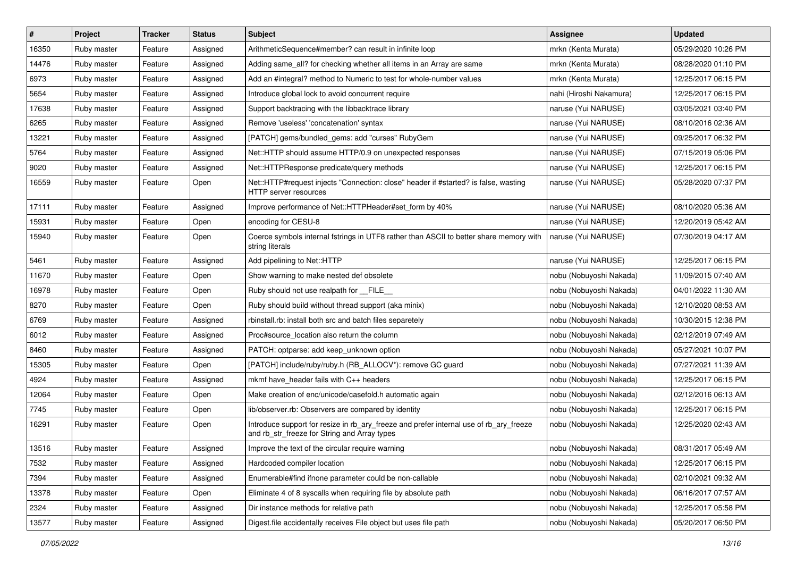| $\vert$ # | Project     | <b>Tracker</b> | <b>Status</b> | <b>Subject</b>                                                                                                                         | <b>Assignee</b>         | <b>Updated</b>      |
|-----------|-------------|----------------|---------------|----------------------------------------------------------------------------------------------------------------------------------------|-------------------------|---------------------|
| 16350     | Ruby master | Feature        | Assigned      | ArithmeticSequence#member? can result in infinite loop                                                                                 | mrkn (Kenta Murata)     | 05/29/2020 10:26 PM |
| 14476     | Ruby master | Feature        | Assigned      | Adding same_all? for checking whether all items in an Array are same                                                                   | mrkn (Kenta Murata)     | 08/28/2020 01:10 PM |
| 6973      | Ruby master | Feature        | Assigned      | Add an #integral? method to Numeric to test for whole-number values                                                                    | mrkn (Kenta Murata)     | 12/25/2017 06:15 PM |
| 5654      | Ruby master | Feature        | Assigned      | Introduce global lock to avoid concurrent require                                                                                      | nahi (Hiroshi Nakamura) | 12/25/2017 06:15 PM |
| 17638     | Ruby master | Feature        | Assigned      | Support backtracing with the libbacktrace library                                                                                      | naruse (Yui NARUSE)     | 03/05/2021 03:40 PM |
| 6265      | Ruby master | Feature        | Assigned      | Remove 'useless' 'concatenation' syntax                                                                                                | naruse (Yui NARUSE)     | 08/10/2016 02:36 AM |
| 13221     | Ruby master | Feature        | Assigned      | [PATCH] gems/bundled_gems: add "curses" RubyGem                                                                                        | naruse (Yui NARUSE)     | 09/25/2017 06:32 PM |
| 5764      | Ruby master | Feature        | Assigned      | Net::HTTP should assume HTTP/0.9 on unexpected responses                                                                               | naruse (Yui NARUSE)     | 07/15/2019 05:06 PM |
| 9020      | Ruby master | Feature        | Assigned      | Net::HTTPResponse predicate/query methods                                                                                              | naruse (Yui NARUSE)     | 12/25/2017 06:15 PM |
| 16559     | Ruby master | Feature        | Open          | Net::HTTP#request injects "Connection: close" header if #started? is false, wasting<br>HTTP server resources                           | naruse (Yui NARUSE)     | 05/28/2020 07:37 PM |
| 17111     | Ruby master | Feature        | Assigned      | Improve performance of Net::HTTPHeader#set_form by 40%                                                                                 | naruse (Yui NARUSE)     | 08/10/2020 05:36 AM |
| 15931     | Ruby master | Feature        | Open          | encoding for CESU-8                                                                                                                    | naruse (Yui NARUSE)     | 12/20/2019 05:42 AM |
| 15940     | Ruby master | Feature        | Open          | Coerce symbols internal fstrings in UTF8 rather than ASCII to better share memory with<br>string literals                              | naruse (Yui NARUSE)     | 07/30/2019 04:17 AM |
| 5461      | Ruby master | Feature        | Assigned      | Add pipelining to Net::HTTP                                                                                                            | naruse (Yui NARUSE)     | 12/25/2017 06:15 PM |
| 11670     | Ruby master | Feature        | Open          | Show warning to make nested def obsolete                                                                                               | nobu (Nobuyoshi Nakada) | 11/09/2015 07:40 AM |
| 16978     | Ruby master | Feature        | Open          | Ruby should not use realpath for __FILE_                                                                                               | nobu (Nobuyoshi Nakada) | 04/01/2022 11:30 AM |
| 8270      | Ruby master | Feature        | Open          | Ruby should build without thread support (aka minix)                                                                                   | nobu (Nobuyoshi Nakada) | 12/10/2020 08:53 AM |
| 6769      | Ruby master | Feature        | Assigned      | rbinstall.rb: install both src and batch files separetely                                                                              | nobu (Nobuyoshi Nakada) | 10/30/2015 12:38 PM |
| 6012      | Ruby master | Feature        | Assigned      | Proc#source_location also return the column                                                                                            | nobu (Nobuyoshi Nakada) | 02/12/2019 07:49 AM |
| 8460      | Ruby master | Feature        | Assigned      | PATCH: optparse: add keep_unknown option                                                                                               | nobu (Nobuyoshi Nakada) | 05/27/2021 10:07 PM |
| 15305     | Ruby master | Feature        | Open          | [PATCH] include/ruby/ruby.h (RB_ALLOCV*): remove GC guard                                                                              | nobu (Nobuyoshi Nakada) | 07/27/2021 11:39 AM |
| 4924      | Ruby master | Feature        | Assigned      | mkmf have header fails with C++ headers                                                                                                | nobu (Nobuyoshi Nakada) | 12/25/2017 06:15 PM |
| 12064     | Ruby master | Feature        | Open          | Make creation of enc/unicode/casefold.h automatic again                                                                                | nobu (Nobuyoshi Nakada) | 02/12/2016 06:13 AM |
| 7745      | Ruby master | Feature        | Open          | lib/observer.rb: Observers are compared by identity                                                                                    | nobu (Nobuyoshi Nakada) | 12/25/2017 06:15 PM |
| 16291     | Ruby master | Feature        | Open          | Introduce support for resize in rb_ary_freeze and prefer internal use of rb_ary_freeze<br>and rb_str_freeze for String and Array types | nobu (Nobuyoshi Nakada) | 12/25/2020 02:43 AM |
| 13516     | Ruby master | Feature        | Assigned      | Improve the text of the circular require warning                                                                                       | nobu (Nobuyoshi Nakada) | 08/31/2017 05:49 AM |
| 7532      | Ruby master | Feature        | Assigned      | Hardcoded compiler location                                                                                                            | nobu (Nobuyoshi Nakada) | 12/25/2017 06:15 PM |
| 7394      | Ruby master | Feature        | Assigned      | Enumerable#find ifnone parameter could be non-callable                                                                                 | nobu (Nobuyoshi Nakada) | 02/10/2021 09:32 AM |
| 13378     | Ruby master | Feature        | Open          | Eliminate 4 of 8 syscalls when requiring file by absolute path                                                                         | nobu (Nobuyoshi Nakada) | 06/16/2017 07:57 AM |
| 2324      | Ruby master | Feature        | Assigned      | Dir instance methods for relative path                                                                                                 | nobu (Nobuyoshi Nakada) | 12/25/2017 05:58 PM |
| 13577     | Ruby master | Feature        | Assigned      | Digest file accidentally receives File object but uses file path                                                                       | nobu (Nobuyoshi Nakada) | 05/20/2017 06:50 PM |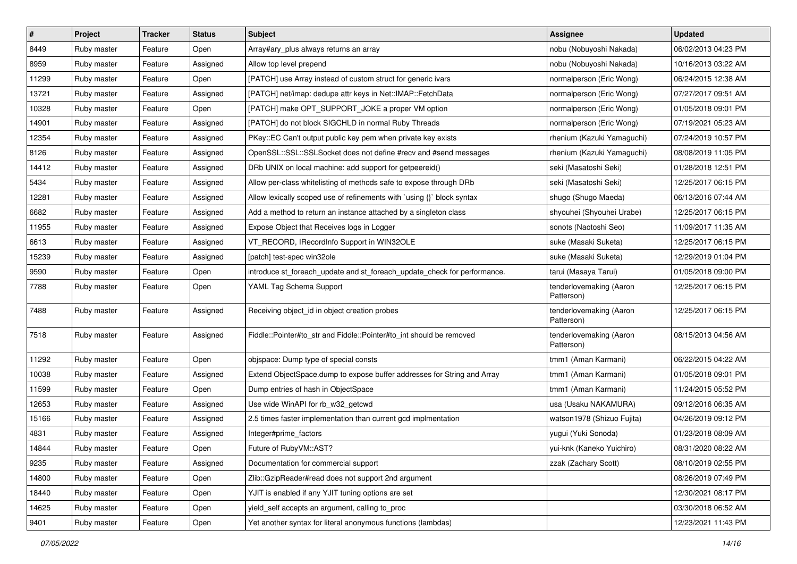| $\vert$ # | Project     | <b>Tracker</b> | <b>Status</b> | <b>Subject</b>                                                           | <b>Assignee</b>                       | <b>Updated</b>      |
|-----------|-------------|----------------|---------------|--------------------------------------------------------------------------|---------------------------------------|---------------------|
| 8449      | Ruby master | Feature        | Open          | Array#ary_plus always returns an array                                   | nobu (Nobuyoshi Nakada)               | 06/02/2013 04:23 PM |
| 8959      | Ruby master | Feature        | Assigned      | Allow top level prepend                                                  | nobu (Nobuyoshi Nakada)               | 10/16/2013 03:22 AM |
| 11299     | Ruby master | Feature        | Open          | [PATCH] use Array instead of custom struct for generic ivars             | normalperson (Eric Wong)              | 06/24/2015 12:38 AM |
| 13721     | Ruby master | Feature        | Assigned      | [PATCH] net/imap: dedupe attr keys in Net::IMAP::FetchData               | normalperson (Eric Wong)              | 07/27/2017 09:51 AM |
| 10328     | Ruby master | Feature        | Open          | [PATCH] make OPT_SUPPORT_JOKE a proper VM option                         | normalperson (Eric Wong)              | 01/05/2018 09:01 PM |
| 14901     | Ruby master | Feature        | Assigned      | [PATCH] do not block SIGCHLD in normal Ruby Threads                      | normalperson (Eric Wong)              | 07/19/2021 05:23 AM |
| 12354     | Ruby master | Feature        | Assigned      | PKey::EC Can't output public key pem when private key exists             | rhenium (Kazuki Yamaguchi)            | 07/24/2019 10:57 PM |
| 8126      | Ruby master | Feature        | Assigned      | OpenSSL::SSL::SSLSocket does not define #recv and #send messages         | rhenium (Kazuki Yamaguchi)            | 08/08/2019 11:05 PM |
| 14412     | Ruby master | Feature        | Assigned      | DRb UNIX on local machine: add support for getpeereid()                  | seki (Masatoshi Seki)                 | 01/28/2018 12:51 PM |
| 5434      | Ruby master | Feature        | Assigned      | Allow per-class whitelisting of methods safe to expose through DRb       | seki (Masatoshi Seki)                 | 12/25/2017 06:15 PM |
| 12281     | Ruby master | Feature        | Assigned      | Allow lexically scoped use of refinements with 'using {}' block syntax   | shugo (Shugo Maeda)                   | 06/13/2016 07:44 AM |
| 6682      | Ruby master | Feature        | Assigned      | Add a method to return an instance attached by a singleton class         | shyouhei (Shyouhei Urabe)             | 12/25/2017 06:15 PM |
| 11955     | Ruby master | Feature        | Assigned      | Expose Object that Receives logs in Logger                               | sonots (Naotoshi Seo)                 | 11/09/2017 11:35 AM |
| 6613      | Ruby master | Feature        | Assigned      | VT_RECORD, IRecordInfo Support in WIN32OLE                               | suke (Masaki Suketa)                  | 12/25/2017 06:15 PM |
| 15239     | Ruby master | Feature        | Assigned      | [patch] test-spec win32ole                                               | suke (Masaki Suketa)                  | 12/29/2019 01:04 PM |
| 9590      | Ruby master | Feature        | Open          | introduce st_foreach_update and st_foreach_update_check for performance. | tarui (Masaya Tarui)                  | 01/05/2018 09:00 PM |
| 7788      | Ruby master | Feature        | Open          | YAML Tag Schema Support                                                  | tenderlovemaking (Aaron<br>Patterson) | 12/25/2017 06:15 PM |
| 7488      | Ruby master | Feature        | Assigned      | Receiving object_id in object creation probes                            | tenderlovemaking (Aaron<br>Patterson) | 12/25/2017 06:15 PM |
| 7518      | Ruby master | Feature        | Assigned      | Fiddle::Pointer#to_str and Fiddle::Pointer#to_int should be removed      | tenderlovemaking (Aaron<br>Patterson) | 08/15/2013 04:56 AM |
| 11292     | Ruby master | Feature        | Open          | objspace: Dump type of special consts                                    | tmm1 (Aman Karmani)                   | 06/22/2015 04:22 AM |
| 10038     | Ruby master | Feature        | Assigned      | Extend ObjectSpace.dump to expose buffer addresses for String and Array  | tmm1 (Aman Karmani)                   | 01/05/2018 09:01 PM |
| 11599     | Ruby master | Feature        | Open          | Dump entries of hash in ObjectSpace                                      | tmm1 (Aman Karmani)                   | 11/24/2015 05:52 PM |
| 12653     | Ruby master | Feature        | Assigned      | Use wide WinAPI for rb_w32_getcwd                                        | usa (Usaku NAKAMURA)                  | 09/12/2016 06:35 AM |
| 15166     | Ruby master | Feature        | Assigned      | 2.5 times faster implementation than current gcd implmentation           | watson1978 (Shizuo Fujita)            | 04/26/2019 09:12 PM |
| 4831      | Ruby master | Feature        | Assigned      | Integer#prime_factors                                                    | yugui (Yuki Sonoda)                   | 01/23/2018 08:09 AM |
| 14844     | Ruby master | Feature        | Open          | Future of RubyVM::AST?                                                   | yui-knk (Kaneko Yuichiro)             | 08/31/2020 08:22 AM |
| 9235      | Ruby master | Feature        | Assigned      | Documentation for commercial support                                     | zzak (Zachary Scott)                  | 08/10/2019 02:55 PM |
| 14800     | Ruby master | Feature        | Open          | Zlib::GzipReader#read does not support 2nd argument                      |                                       | 08/26/2019 07:49 PM |
| 18440     | Ruby master | Feature        | Open          | YJIT is enabled if any YJIT tuning options are set                       |                                       | 12/30/2021 08:17 PM |
| 14625     | Ruby master | Feature        | Open          | yield self accepts an argument, calling to proc                          |                                       | 03/30/2018 06:52 AM |
| 9401      | Ruby master | Feature        | Open          | Yet another syntax for literal anonymous functions (lambdas)             |                                       | 12/23/2021 11:43 PM |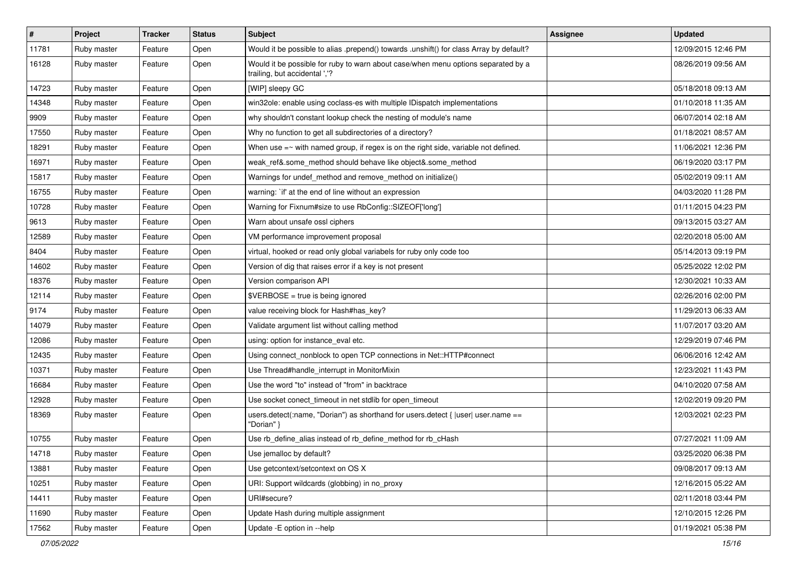| $\vert$ # | Project     | <b>Tracker</b> | <b>Status</b> | <b>Subject</b>                                                                                                     | <b>Assignee</b> | <b>Updated</b>      |
|-----------|-------------|----------------|---------------|--------------------------------------------------------------------------------------------------------------------|-----------------|---------------------|
| 11781     | Ruby master | Feature        | Open          | Would it be possible to alias .prepend() towards .unshift() for class Array by default?                            |                 | 12/09/2015 12:46 PM |
| 16128     | Ruby master | Feature        | Open          | Would it be possible for ruby to warn about case/when menu options separated by a<br>trailing, but accidental ','? |                 | 08/26/2019 09:56 AM |
| 14723     | Ruby master | Feature        | Open          | [WIP] sleepy GC                                                                                                    |                 | 05/18/2018 09:13 AM |
| 14348     | Ruby master | Feature        | Open          | win32ole: enable using coclass-es with multiple IDispatch implementations                                          |                 | 01/10/2018 11:35 AM |
| 9909      | Ruby master | Feature        | Open          | why shouldn't constant lookup check the nesting of module's name                                                   |                 | 06/07/2014 02:18 AM |
| 17550     | Ruby master | Feature        | Open          | Why no function to get all subdirectories of a directory?                                                          |                 | 01/18/2021 08:57 AM |
| 18291     | Ruby master | Feature        | Open          | When use $=\sim$ with named group, if regex is on the right side, variable not defined.                            |                 | 11/06/2021 12:36 PM |
| 16971     | Ruby master | Feature        | Open          | weak_ref&.some_method should behave like object&.some_method                                                       |                 | 06/19/2020 03:17 PM |
| 15817     | Ruby master | Feature        | Open          | Warnings for undef_method and remove_method on initialize()                                                        |                 | 05/02/2019 09:11 AM |
| 16755     | Ruby master | Feature        | Open          | warning: `if' at the end of line without an expression                                                             |                 | 04/03/2020 11:28 PM |
| 10728     | Ruby master | Feature        | Open          | Warning for Fixnum#size to use RbConfig::SIZEOF['long']                                                            |                 | 01/11/2015 04:23 PM |
| 9613      | Ruby master | Feature        | Open          | Warn about unsafe ossl ciphers                                                                                     |                 | 09/13/2015 03:27 AM |
| 12589     | Ruby master | Feature        | Open          | VM performance improvement proposal                                                                                |                 | 02/20/2018 05:00 AM |
| 8404      | Ruby master | Feature        | Open          | virtual, hooked or read only global variabels for ruby only code too                                               |                 | 05/14/2013 09:19 PM |
| 14602     | Ruby master | Feature        | Open          | Version of dig that raises error if a key is not present                                                           |                 | 05/25/2022 12:02 PM |
| 18376     | Ruby master | Feature        | Open          | Version comparison API                                                                                             |                 | 12/30/2021 10:33 AM |
| 12114     | Ruby master | Feature        | Open          | \$VERBOSE = true is being ignored                                                                                  |                 | 02/26/2016 02:00 PM |
| 9174      | Ruby master | Feature        | Open          | value receiving block for Hash#has key?                                                                            |                 | 11/29/2013 06:33 AM |
| 14079     | Ruby master | Feature        | Open          | Validate argument list without calling method                                                                      |                 | 11/07/2017 03:20 AM |
| 12086     | Ruby master | Feature        | Open          | using: option for instance_eval etc.                                                                               |                 | 12/29/2019 07:46 PM |
| 12435     | Ruby master | Feature        | Open          | Using connect_nonblock to open TCP connections in Net::HTTP#connect                                                |                 | 06/06/2016 12:42 AM |
| 10371     | Ruby master | Feature        | Open          | Use Thread#handle_interrupt in MonitorMixin                                                                        |                 | 12/23/2021 11:43 PM |
| 16684     | Ruby master | Feature        | Open          | Use the word "to" instead of "from" in backtrace                                                                   |                 | 04/10/2020 07:58 AM |
| 12928     | Ruby master | Feature        | Open          | Use socket conect_timeout in net stdlib for open_timeout                                                           |                 | 12/02/2019 09:20 PM |
| 18369     | Ruby master | Feature        | Open          | users.detect(:name, "Dorian") as shorthand for users.detect {  user  user.name ==<br>"Dorian" }                    |                 | 12/03/2021 02:23 PM |
| 10755     | Ruby master | Feature        | Open          | Use rb_define_alias instead of rb_define_method for rb_cHash                                                       |                 | 07/27/2021 11:09 AM |
| 14718     | Ruby master | Feature        | Open          | Use jemalloc by default?                                                                                           |                 | 03/25/2020 06:38 PM |
| 13881     | Ruby master | Feature        | Open          | Use getcontext/setcontext on OS X                                                                                  |                 | 09/08/2017 09:13 AM |
| 10251     | Ruby master | Feature        | Open          | URI: Support wildcards (globbing) in no_proxy                                                                      |                 | 12/16/2015 05:22 AM |
| 14411     | Ruby master | Feature        | Open          | URI#secure?                                                                                                        |                 | 02/11/2018 03:44 PM |
| 11690     | Ruby master | Feature        | Open          | Update Hash during multiple assignment                                                                             |                 | 12/10/2015 12:26 PM |
| 17562     | Ruby master | Feature        | Open          | Update - E option in --help                                                                                        |                 | 01/19/2021 05:38 PM |